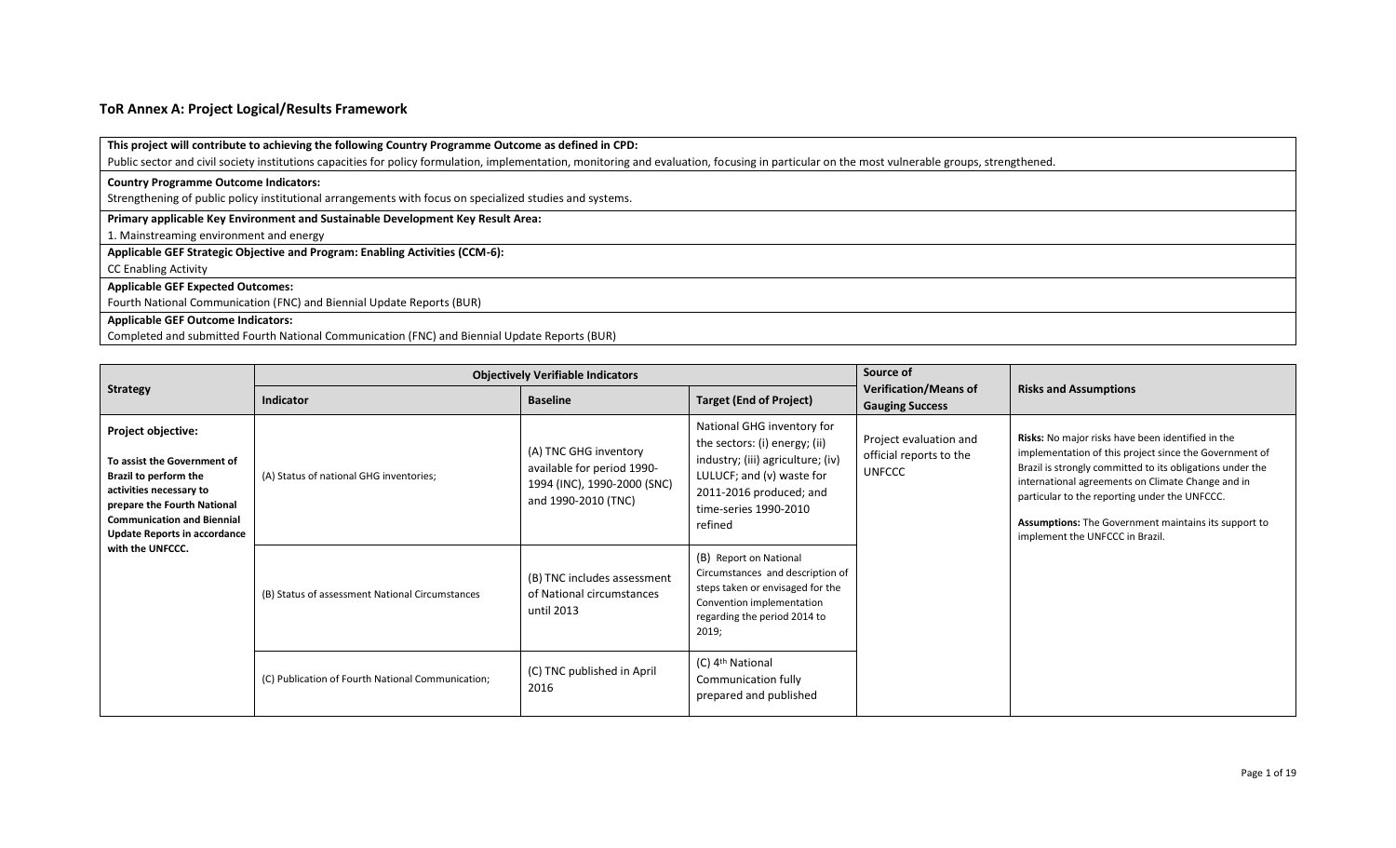### **ToR Annex A: Project Logical/Results Framework**

### **This project will contribute to achieving the following Country Programme Outcome as defined in CPD:**

Public sector and civil society institutions capacities for policy formulation, implementation, monitoring and evaluation, focusing in particular on the most vulnerable groups, strengthened.

#### **Country Programme Outcome Indicators:**

Strengthening of public policy institutional arrangements with focus on specialized studies and systems.

### **Primary applicable Key Environment and Sustainable Development Key Result Area:**

1. Mainstreaming environment and energy

**Applicable GEF Strategic Objective and Program: Enabling Activities (CCM-6):** 

CC Enabling Activity

### **Applicable GEF Expected Outcomes:**

Fourth National Communication (FNC) and Biennial Update Reports (BUR)

#### **Applicable GEF Outcome Indicators:**

Completed and submitted Fourth National Communication (FNC) and Biennial Update Reports (BUR)

|                                                                                                                                                                                                                                             |                                                   | <b>Objectively Verifiable Indicators</b>                                                                  |                                                                                                                                                                                              | Source of                                                          |                                                                                                                                                                                                                                                                                                                                                                           |
|---------------------------------------------------------------------------------------------------------------------------------------------------------------------------------------------------------------------------------------------|---------------------------------------------------|-----------------------------------------------------------------------------------------------------------|----------------------------------------------------------------------------------------------------------------------------------------------------------------------------------------------|--------------------------------------------------------------------|---------------------------------------------------------------------------------------------------------------------------------------------------------------------------------------------------------------------------------------------------------------------------------------------------------------------------------------------------------------------------|
| <b>Strategy</b>                                                                                                                                                                                                                             | <b>Indicator</b>                                  | <b>Baseline</b>                                                                                           | <b>Target (End of Project)</b>                                                                                                                                                               | <b>Verification/Means of</b><br><b>Gauging Success</b>             | <b>Risks and Assumptions</b>                                                                                                                                                                                                                                                                                                                                              |
| <b>Project objective:</b><br>To assist the Government of<br>Brazil to perform the<br>activities necessary to<br>prepare the Fourth National<br><b>Communication and Biennial</b><br><b>Update Reports in accordance</b><br>with the UNFCCC. | (A) Status of national GHG inventories;           | (A) TNC GHG inventory<br>available for period 1990-<br>1994 (INC), 1990-2000 (SNC)<br>and 1990-2010 (TNC) | National GHG inventory for<br>the sectors: (i) energy; (ii)<br>industry; (iii) agriculture; (iv)<br>LULUCF; and (v) waste for<br>2011-2016 produced; and<br>time-series 1990-2010<br>refined | Project evaluation and<br>official reports to the<br><b>UNFCCC</b> | Risks: No major risks have been identified in the<br>implementation of this project since the Government of<br>Brazil is strongly committed to its obligations under the<br>international agreements on Climate Change and in<br>particular to the reporting under the UNFCCC.<br>Assumptions: The Government maintains its support to<br>implement the UNFCCC in Brazil. |
|                                                                                                                                                                                                                                             | (B) Status of assessment National Circumstances   | (B) TNC includes assessment<br>of National circumstances<br>until 2013                                    | (B) Report on National<br>Circumstances and description of<br>steps taken or envisaged for the<br>Convention implementation<br>regarding the period 2014 to<br>2019;                         |                                                                    |                                                                                                                                                                                                                                                                                                                                                                           |
|                                                                                                                                                                                                                                             | (C) Publication of Fourth National Communication; | (C) TNC published in April<br>2016                                                                        | (C) 4 <sup>th</sup> National<br>Communication fully<br>prepared and published                                                                                                                |                                                                    |                                                                                                                                                                                                                                                                                                                                                                           |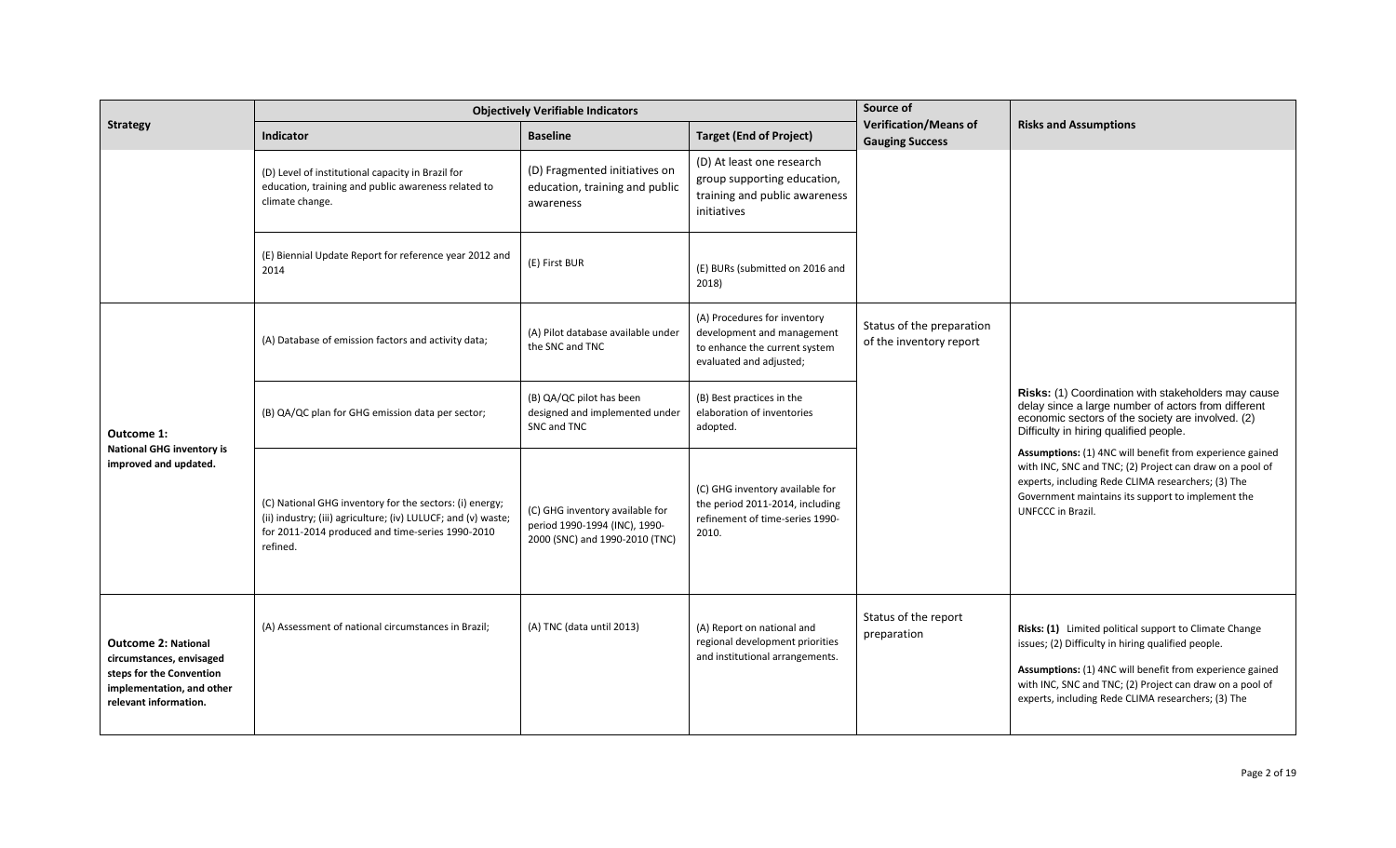|                                                                                                                                          | <b>Objectively Verifiable Indicators</b>                                                                                                                                                 |                                                                                                    |                                                                                                                        | Source of                                              |                                                                                                                                                                                                                                                                                            |
|------------------------------------------------------------------------------------------------------------------------------------------|------------------------------------------------------------------------------------------------------------------------------------------------------------------------------------------|----------------------------------------------------------------------------------------------------|------------------------------------------------------------------------------------------------------------------------|--------------------------------------------------------|--------------------------------------------------------------------------------------------------------------------------------------------------------------------------------------------------------------------------------------------------------------------------------------------|
| <b>Strategy</b>                                                                                                                          | <b>Indicator</b>                                                                                                                                                                         | <b>Baseline</b>                                                                                    | <b>Target (End of Project)</b>                                                                                         | <b>Verification/Means of</b><br><b>Gauging Success</b> | <b>Risks and Assumptions</b>                                                                                                                                                                                                                                                               |
|                                                                                                                                          | (D) Level of institutional capacity in Brazil for<br>education, training and public awareness related to<br>climate change.                                                              | (D) Fragmented initiatives on<br>education, training and public<br>awareness                       | (D) At least one research<br>group supporting education,<br>training and public awareness<br>initiatives               |                                                        |                                                                                                                                                                                                                                                                                            |
|                                                                                                                                          | (E) Biennial Update Report for reference year 2012 and<br>2014                                                                                                                           | (E) First BUR                                                                                      | (E) BURs (submitted on 2016 and<br>2018)                                                                               |                                                        |                                                                                                                                                                                                                                                                                            |
|                                                                                                                                          | (A) Database of emission factors and activity data;                                                                                                                                      | (A) Pilot database available under<br>the SNC and TNC                                              | (A) Procedures for inventory<br>development and management<br>to enhance the current system<br>evaluated and adjusted; | Status of the preparation<br>of the inventory report   |                                                                                                                                                                                                                                                                                            |
| Outcome 1:<br><b>National GHG inventory is</b><br>improved and updated.                                                                  | (B) QA/QC plan for GHG emission data per sector;                                                                                                                                         | (B) QA/QC pilot has been<br>designed and implemented under<br>SNC and TNC                          | (B) Best practices in the<br>elaboration of inventories<br>adopted.                                                    |                                                        | Risks: (1) Coordination with stakeholders may cause<br>delay since a large number of actors from different<br>economic sectors of the society are involved. (2)<br>Difficulty in hiring qualified people.                                                                                  |
|                                                                                                                                          | (C) National GHG inventory for the sectors: (i) energy;<br>(ii) industry; (iii) agriculture; (iv) LULUCF; and (v) waste;<br>for 2011-2014 produced and time-series 1990-2010<br>refined. | (C) GHG inventory available for<br>period 1990-1994 (INC), 1990-<br>2000 (SNC) and 1990-2010 (TNC) | (C) GHG inventory available for<br>the period 2011-2014, including<br>refinement of time-series 1990-<br>2010.         |                                                        | Assumptions: (1) 4NC will benefit from experience gained<br>with INC, SNC and TNC; (2) Project can draw on a pool of<br>experts, including Rede CLIMA researchers; (3) The<br>Government maintains its support to implement the<br>UNFCCC in Brazil.                                       |
| <b>Outcome 2: National</b><br>circumstances, envisaged<br>steps for the Convention<br>implementation, and other<br>relevant information. | (A) Assessment of national circumstances in Brazil;                                                                                                                                      | (A) TNC (data until 2013)                                                                          | (A) Report on national and<br>regional development priorities<br>and institutional arrangements.                       | Status of the report<br>preparation                    | Risks: (1) Limited political support to Climate Change<br>issues; (2) Difficulty in hiring qualified people.<br>Assumptions: (1) 4NC will benefit from experience gained<br>with INC, SNC and TNC; (2) Project can draw on a pool of<br>experts, including Rede CLIMA researchers; (3) The |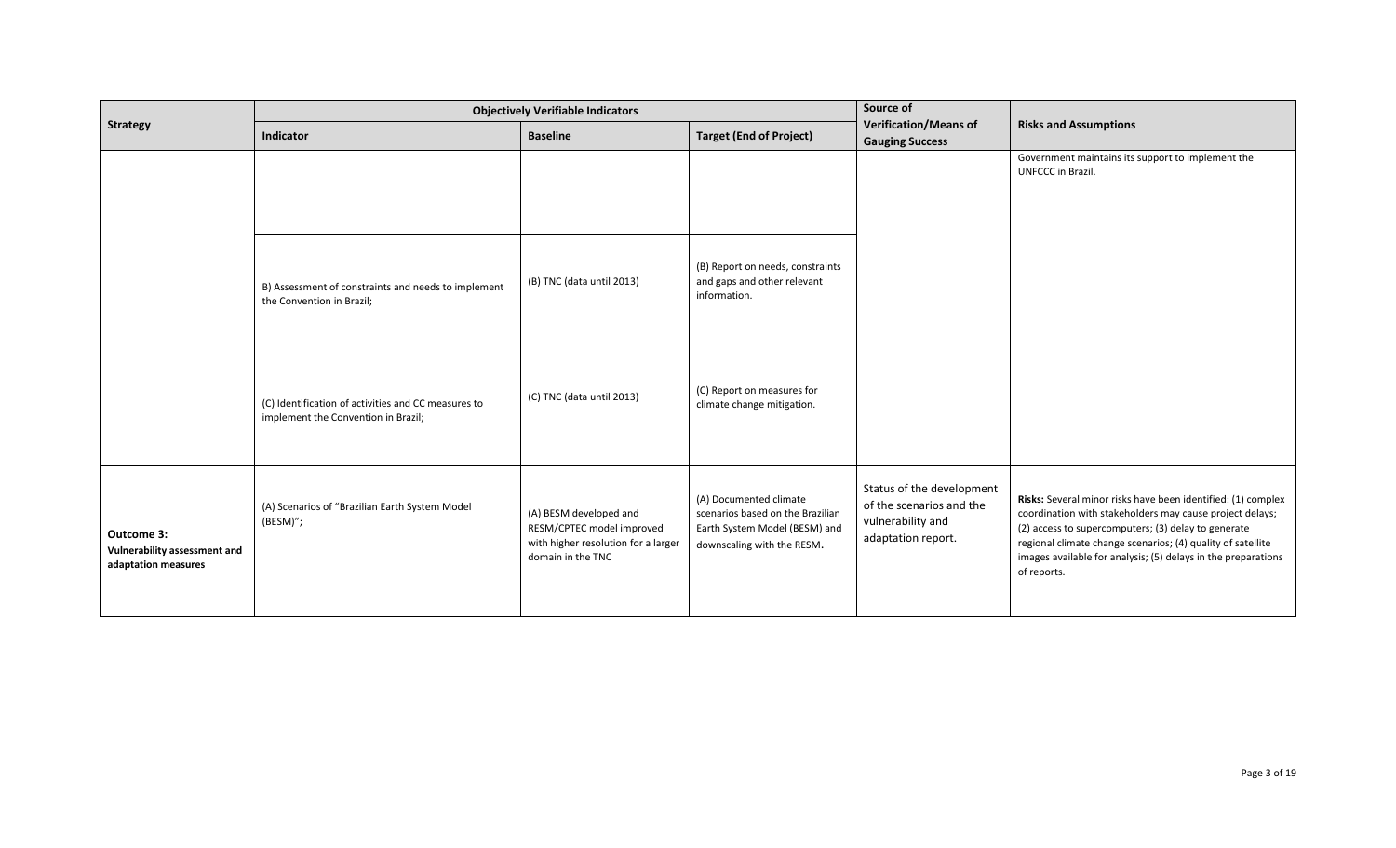|                                                                   | <b>Objectively Verifiable Indicators</b>                                                   |                                                                                                                 |                                                                                                                           | Source of                                                                                        |                                                                                                                                                                                                                                                                                                                                |
|-------------------------------------------------------------------|--------------------------------------------------------------------------------------------|-----------------------------------------------------------------------------------------------------------------|---------------------------------------------------------------------------------------------------------------------------|--------------------------------------------------------------------------------------------------|--------------------------------------------------------------------------------------------------------------------------------------------------------------------------------------------------------------------------------------------------------------------------------------------------------------------------------|
| <b>Strategy</b>                                                   | Indicator                                                                                  | <b>Baseline</b>                                                                                                 | <b>Target (End of Project)</b>                                                                                            | <b>Verification/Means of</b><br><b>Gauging Success</b>                                           | <b>Risks and Assumptions</b>                                                                                                                                                                                                                                                                                                   |
|                                                                   |                                                                                            |                                                                                                                 |                                                                                                                           |                                                                                                  | Government maintains its support to implement the<br>UNFCCC in Brazil.                                                                                                                                                                                                                                                         |
|                                                                   | B) Assessment of constraints and needs to implement<br>the Convention in Brazil;           | (B) TNC (data until 2013)                                                                                       | (B) Report on needs, constraints<br>and gaps and other relevant<br>information.                                           |                                                                                                  |                                                                                                                                                                                                                                                                                                                                |
|                                                                   | (C) Identification of activities and CC measures to<br>implement the Convention in Brazil; | (C) TNC (data until 2013)                                                                                       | (C) Report on measures for<br>climate change mitigation.                                                                  |                                                                                                  |                                                                                                                                                                                                                                                                                                                                |
| Outcome 3:<br>Vulnerability assessment and<br>adaptation measures | (A) Scenarios of "Brazilian Earth System Model<br>(BESM)";                                 | (A) BESM developed and<br>RESM/CPTEC model improved<br>with higher resolution for a larger<br>domain in the TNC | (A) Documented climate<br>scenarios based on the Brazilian<br>Earth System Model (BESM) and<br>downscaling with the RESM. | Status of the development<br>of the scenarios and the<br>vulnerability and<br>adaptation report. | Risks: Several minor risks have been identified: (1) complex<br>coordination with stakeholders may cause project delays;<br>(2) access to supercomputers; (3) delay to generate<br>regional climate change scenarios; (4) quality of satellite<br>images available for analysis; (5) delays in the preparations<br>of reports. |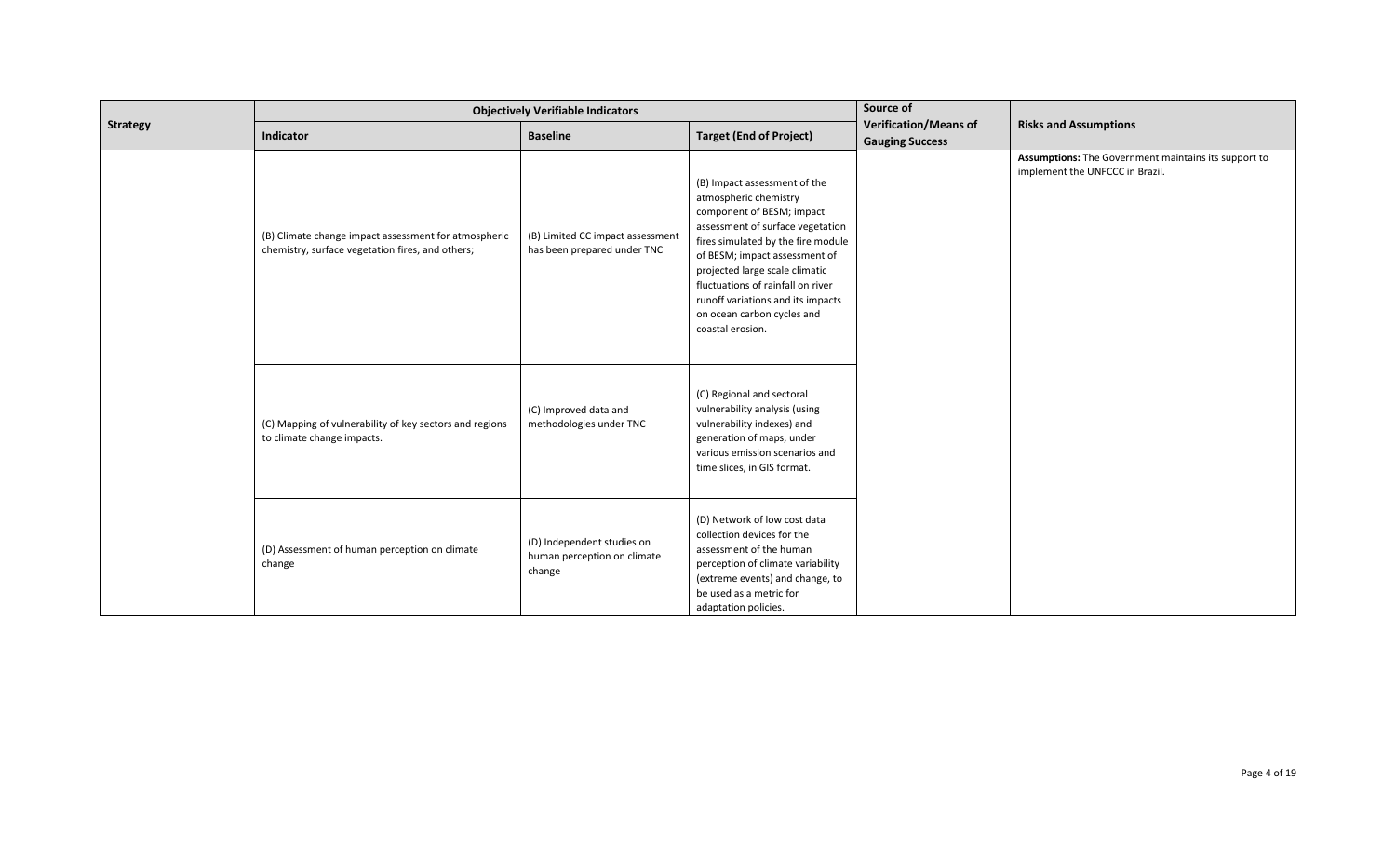|                 | <b>Objectively Verifiable Indicators</b>                                                                 |                                                                     |                                                                                                                                                                                                                                                                                                                                                             | Source of                                              |                                                                                         |
|-----------------|----------------------------------------------------------------------------------------------------------|---------------------------------------------------------------------|-------------------------------------------------------------------------------------------------------------------------------------------------------------------------------------------------------------------------------------------------------------------------------------------------------------------------------------------------------------|--------------------------------------------------------|-----------------------------------------------------------------------------------------|
| <b>Strategy</b> | Indicator                                                                                                | <b>Baseline</b>                                                     | <b>Target (End of Project)</b>                                                                                                                                                                                                                                                                                                                              | <b>Verification/Means of</b><br><b>Gauging Success</b> | <b>Risks and Assumptions</b>                                                            |
|                 | (B) Climate change impact assessment for atmospheric<br>chemistry, surface vegetation fires, and others; | (B) Limited CC impact assessment<br>has been prepared under TNC     | (B) Impact assessment of the<br>atmospheric chemistry<br>component of BESM; impact<br>assessment of surface vegetation<br>fires simulated by the fire module<br>of BESM; impact assessment of<br>projected large scale climatic<br>fluctuations of rainfall on river<br>runoff variations and its impacts<br>on ocean carbon cycles and<br>coastal erosion. |                                                        | Assumptions: The Government maintains its support to<br>implement the UNFCCC in Brazil. |
|                 | (C) Mapping of vulnerability of key sectors and regions<br>to climate change impacts.                    | (C) Improved data and<br>methodologies under TNC                    | (C) Regional and sectoral<br>vulnerability analysis (using<br>vulnerability indexes) and<br>generation of maps, under<br>various emission scenarios and<br>time slices, in GIS format.                                                                                                                                                                      |                                                        |                                                                                         |
|                 | (D) Assessment of human perception on climate<br>change                                                  | (D) Independent studies on<br>human perception on climate<br>change | (D) Network of low cost data<br>collection devices for the<br>assessment of the human<br>perception of climate variability<br>(extreme events) and change, to<br>be used as a metric for<br>adaptation policies.                                                                                                                                            |                                                        |                                                                                         |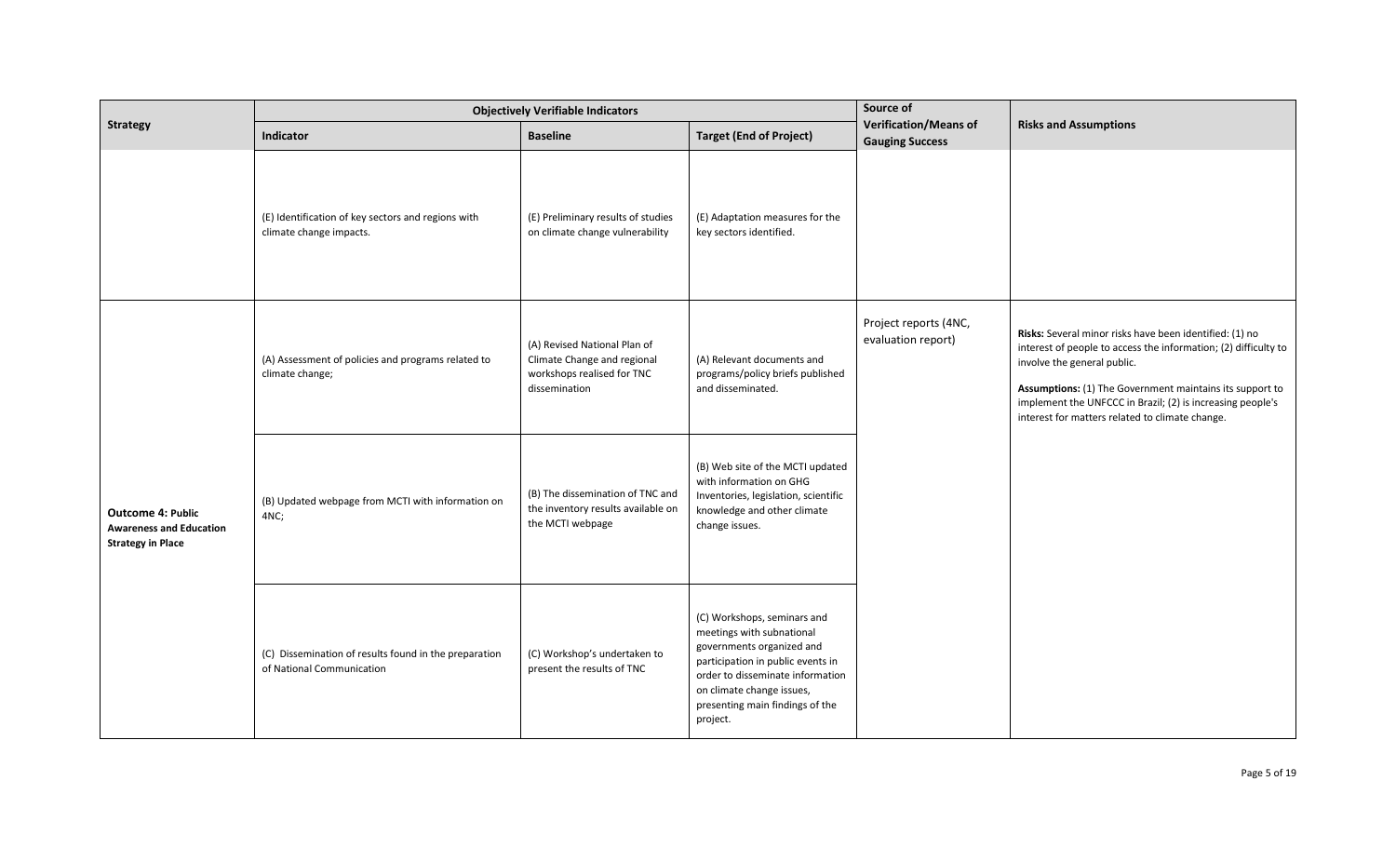|                                                                                        | <b>Objectively Verifiable Indicators</b>                                           |                                                                                                            |                                                                                                                                                                                                                                            | Source of                                              |                                                                                                                                                                                                                                                                                                                                        |
|----------------------------------------------------------------------------------------|------------------------------------------------------------------------------------|------------------------------------------------------------------------------------------------------------|--------------------------------------------------------------------------------------------------------------------------------------------------------------------------------------------------------------------------------------------|--------------------------------------------------------|----------------------------------------------------------------------------------------------------------------------------------------------------------------------------------------------------------------------------------------------------------------------------------------------------------------------------------------|
| <b>Strategy</b>                                                                        | Indicator                                                                          | <b>Baseline</b>                                                                                            | <b>Target (End of Project)</b>                                                                                                                                                                                                             | <b>Verification/Means of</b><br><b>Gauging Success</b> | <b>Risks and Assumptions</b>                                                                                                                                                                                                                                                                                                           |
|                                                                                        | (E) Identification of key sectors and regions with<br>climate change impacts.      | (E) Preliminary results of studies<br>on climate change vulnerability                                      | (E) Adaptation measures for the<br>key sectors identified.                                                                                                                                                                                 |                                                        |                                                                                                                                                                                                                                                                                                                                        |
|                                                                                        | (A) Assessment of policies and programs related to<br>climate change;              | (A) Revised National Plan of<br>Climate Change and regional<br>workshops realised for TNC<br>dissemination | (A) Relevant documents and<br>programs/policy briefs published<br>and disseminated.                                                                                                                                                        | Project reports (4NC,<br>evaluation report)            | Risks: Several minor risks have been identified: (1) no<br>interest of people to access the information; (2) difficulty to<br>involve the general public.<br>Assumptions: (1) The Government maintains its support to<br>implement the UNFCCC in Brazil; (2) is increasing people's<br>interest for matters related to climate change. |
| <b>Outcome 4: Public</b><br><b>Awareness and Education</b><br><b>Strategy in Place</b> | (B) Updated webpage from MCTI with information on<br>4NC;                          | (B) The dissemination of TNC and<br>the inventory results available on<br>the MCTI webpage                 | (B) Web site of the MCTI updated<br>with information on GHG<br>Inventories, legislation, scientific<br>knowledge and other climate<br>change issues.                                                                                       |                                                        |                                                                                                                                                                                                                                                                                                                                        |
|                                                                                        | (C) Dissemination of results found in the preparation<br>of National Communication | (C) Workshop's undertaken to<br>present the results of TNC                                                 | (C) Workshops, seminars and<br>meetings with subnational<br>governments organized and<br>participation in public events in<br>order to disseminate information<br>on climate change issues,<br>presenting main findings of the<br>project. |                                                        |                                                                                                                                                                                                                                                                                                                                        |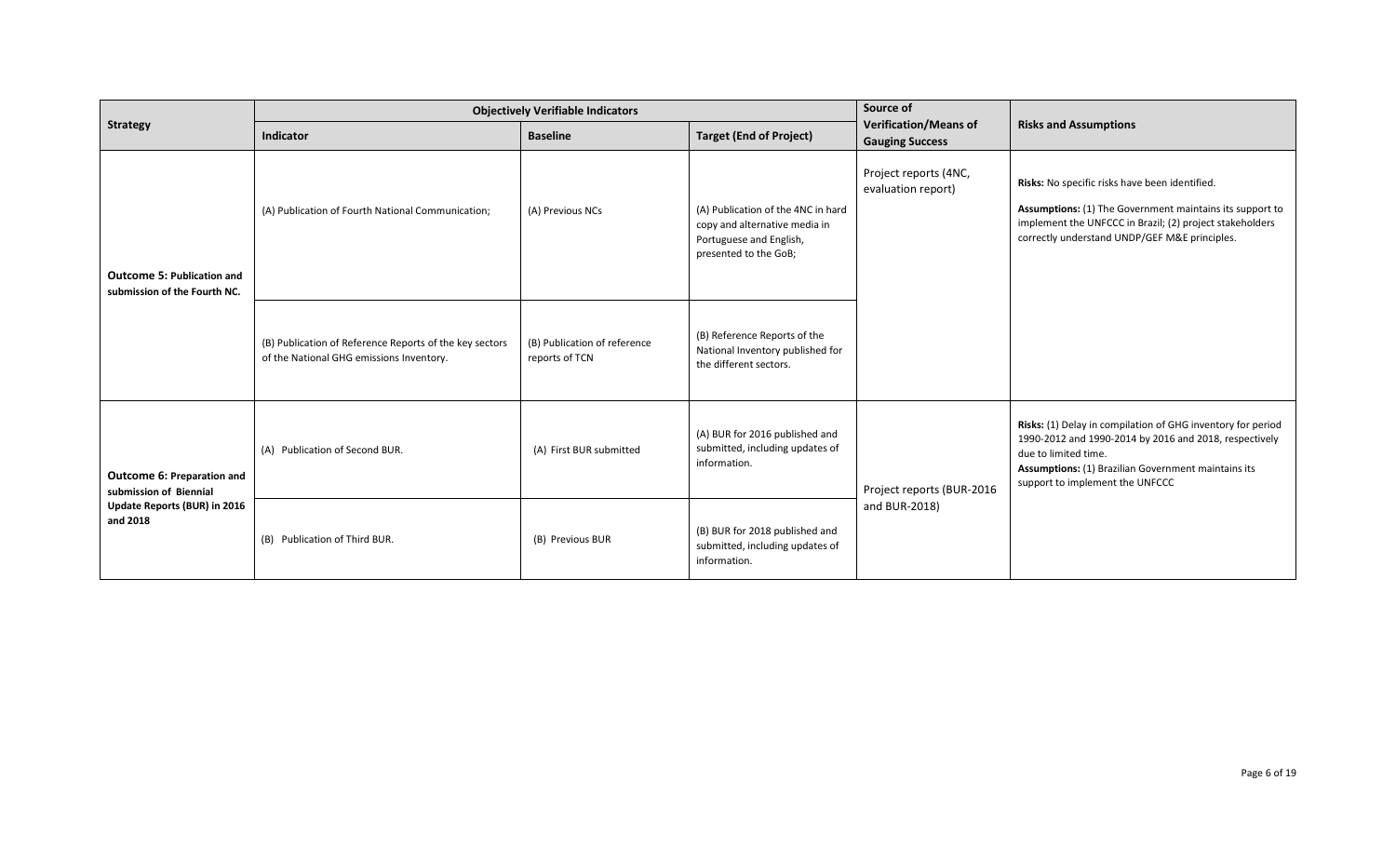|                                                                                                  | <b>Objectively Verifiable Indicators</b>                                                            |                                                |                                                                                                                         | Source of                                              |                                                                                                                                                                                                                                         |
|--------------------------------------------------------------------------------------------------|-----------------------------------------------------------------------------------------------------|------------------------------------------------|-------------------------------------------------------------------------------------------------------------------------|--------------------------------------------------------|-----------------------------------------------------------------------------------------------------------------------------------------------------------------------------------------------------------------------------------------|
| <b>Strategy</b>                                                                                  | Indicator                                                                                           | <b>Baseline</b>                                | <b>Target (End of Project)</b>                                                                                          | <b>Verification/Means of</b><br><b>Gauging Success</b> | <b>Risks and Assumptions</b>                                                                                                                                                                                                            |
| <b>Outcome 5: Publication and</b><br>submission of the Fourth NC.                                | (A) Publication of Fourth National Communication;                                                   | (A) Previous NCs                               | (A) Publication of the 4NC in hard<br>copy and alternative media in<br>Portuguese and English,<br>presented to the GoB; | Project reports (4NC,<br>evaluation report)            | Risks: No specific risks have been identified.<br><b>Assumptions:</b> (1) The Government maintains its support to<br>implement the UNFCCC in Brazil; (2) project stakeholders<br>correctly understand UNDP/GEF M&E principles.          |
|                                                                                                  | (B) Publication of Reference Reports of the key sectors<br>of the National GHG emissions Inventory. | (B) Publication of reference<br>reports of TCN | (B) Reference Reports of the<br>National Inventory published for<br>the different sectors.                              |                                                        |                                                                                                                                                                                                                                         |
| Outcome 6: Preparation and<br>submission of Biennial<br>Update Reports (BUR) in 2016<br>and 2018 | (A) Publication of Second BUR.                                                                      | (A) First BUR submitted                        | (A) BUR for 2016 published and<br>submitted, including updates of<br>information.                                       | Project reports (BUR-2016                              | Risks: (1) Delay in compilation of GHG inventory for period<br>1990-2012 and 1990-2014 by 2016 and 2018, respectively<br>due to limited time.<br>Assumptions: (1) Brazilian Government maintains its<br>support to implement the UNFCCC |
|                                                                                                  | (B) Publication of Third BUR.                                                                       | (B) Previous BUR                               | (B) BUR for 2018 published and<br>submitted, including updates of<br>information.                                       | and BUR-2018)                                          |                                                                                                                                                                                                                                         |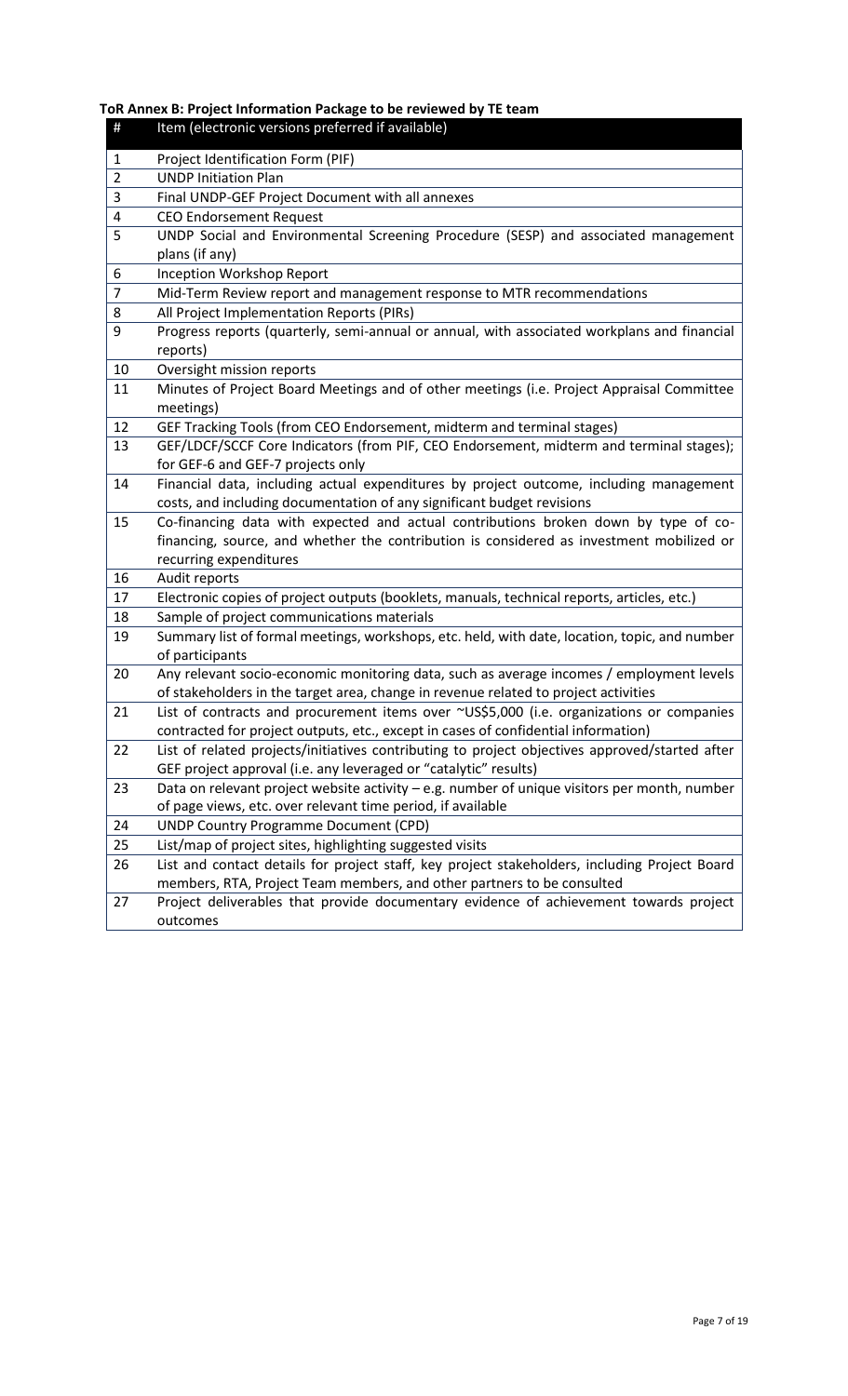**ToR Annex B: Project Information Package to be reviewed by TE team**

| $\#$           | Item (electronic versions preferred if available)                                                                                                                              |
|----------------|--------------------------------------------------------------------------------------------------------------------------------------------------------------------------------|
| 1              | Project Identification Form (PIF)                                                                                                                                              |
| $\overline{2}$ | <b>UNDP Initiation Plan</b>                                                                                                                                                    |
| 3              | Final UNDP-GEF Project Document with all annexes                                                                                                                               |
| 4              | <b>CEO Endorsement Request</b>                                                                                                                                                 |
| 5              | UNDP Social and Environmental Screening Procedure (SESP) and associated management                                                                                             |
|                | plans (if any)                                                                                                                                                                 |
| 6              | Inception Workshop Report                                                                                                                                                      |
| $\overline{7}$ | Mid-Term Review report and management response to MTR recommendations                                                                                                          |
| 8              | All Project Implementation Reports (PIRs)                                                                                                                                      |
| 9              | Progress reports (quarterly, semi-annual or annual, with associated workplans and financial                                                                                    |
|                | reports)                                                                                                                                                                       |
| 10             | Oversight mission reports                                                                                                                                                      |
| 11             | Minutes of Project Board Meetings and of other meetings (i.e. Project Appraisal Committee                                                                                      |
|                | meetings)                                                                                                                                                                      |
| 12             | GEF Tracking Tools (from CEO Endorsement, midterm and terminal stages)                                                                                                         |
| 13             | GEF/LDCF/SCCF Core Indicators (from PIF, CEO Endorsement, midterm and terminal stages);                                                                                        |
|                | for GEF-6 and GEF-7 projects only                                                                                                                                              |
| 14             | Financial data, including actual expenditures by project outcome, including management                                                                                         |
|                | costs, and including documentation of any significant budget revisions                                                                                                         |
| 15             | Co-financing data with expected and actual contributions broken down by type of co-                                                                                            |
|                | financing, source, and whether the contribution is considered as investment mobilized or                                                                                       |
|                | recurring expenditures                                                                                                                                                         |
| 16             | Audit reports                                                                                                                                                                  |
| 17             | Electronic copies of project outputs (booklets, manuals, technical reports, articles, etc.)                                                                                    |
| 18             | Sample of project communications materials                                                                                                                                     |
| 19             | Summary list of formal meetings, workshops, etc. held, with date, location, topic, and number                                                                                  |
|                | of participants                                                                                                                                                                |
| 20             | Any relevant socio-economic monitoring data, such as average incomes / employment levels                                                                                       |
|                | of stakeholders in the target area, change in revenue related to project activities                                                                                            |
| 21             | List of contracts and procurement items over ~US\$5,000 (i.e. organizations or companies<br>contracted for project outputs, etc., except in cases of confidential information) |
| 22             | List of related projects/initiatives contributing to project objectives approved/started after                                                                                 |
|                | GEF project approval (i.e. any leveraged or "catalytic" results)                                                                                                               |
| 23             | Data on relevant project website activity - e.g. number of unique visitors per month, number                                                                                   |
|                | of page views, etc. over relevant time period, if available                                                                                                                    |
| 24             | <b>UNDP Country Programme Document (CPD)</b>                                                                                                                                   |
| 25             | List/map of project sites, highlighting suggested visits                                                                                                                       |
| 26             | List and contact details for project staff, key project stakeholders, including Project Board                                                                                  |
|                | members, RTA, Project Team members, and other partners to be consulted                                                                                                         |
| 27             | Project deliverables that provide documentary evidence of achievement towards project                                                                                          |
|                | outcomes                                                                                                                                                                       |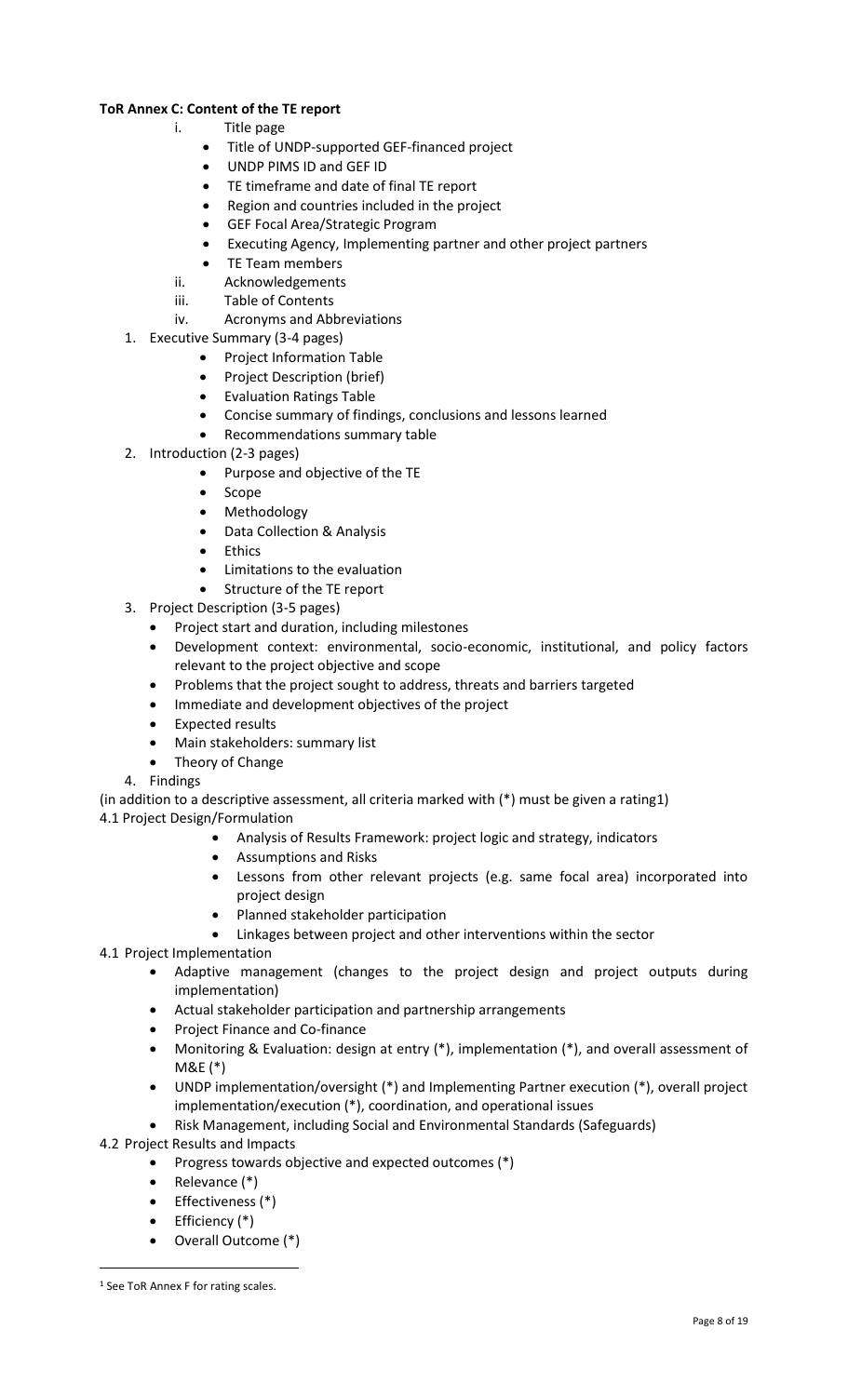# **ToR Annex C: Content of the TE report**

- i. Title page
	- Title of UNDP-supported GEF-financed project
	- UNDP PIMS ID and GEF ID
	- TE timeframe and date of final TE report
	- Region and countries included in the project
	- GEF Focal Area/Strategic Program
	- Executing Agency, Implementing partner and other project partners
	- TE Team members
- ii. Acknowledgements
- iii. Table of Contents
- iv. Acronyms and Abbreviations
- 1. Executive Summary (3-4 pages)
	- Project Information Table
	- Project Description (brief)
	- Evaluation Ratings Table
	- Concise summary of findings, conclusions and lessons learned
	- Recommendations summary table
- 2. Introduction (2-3 pages)
	- Purpose and objective of the TE
	- Scope
	- Methodology
	- Data Collection & Analysis
	- **Ethics**
	- Limitations to the evaluation
		- Structure of the TE report
- 3. Project Description (3-5 pages)
	- Project start and duration, including milestones
	- Development context: environmental, socio-economic, institutional, and policy factors relevant to the project objective and scope
	- Problems that the project sought to address, threats and barriers targeted
	- Immediate and development objectives of the project
	- Expected results
	- Main stakeholders: summary list
	- Theory of Change

## 4. Findings

(in addition to a descriptive assessment, all criteria marked with (\*) must be given a rating1)

- 4.1 Project Design/Formulation
	- Analysis of Results Framework: project logic and strategy, indicators
	- Assumptions and Risks
	- Lessons from other relevant projects (e.g. same focal area) incorporated into project design
	- Planned stakeholder participation
	- Linkages between project and other interventions within the sector
- 4.1 Project Implementation
	- Adaptive management (changes to the project design and project outputs during implementation)
	- Actual stakeholder participation and partnership arrangements
	- Project Finance and Co-finance
	- Monitoring & Evaluation: design at entry (\*), implementation (\*), and overall assessment of M&E (\*)
	- UNDP implementation/oversight (\*) and Implementing Partner execution (\*), overall project implementation/execution (\*), coordination, and operational issues
	- Risk Management, including Social and Environmental Standards (Safeguards)
- 4.2 Project Results and Impacts
	- Progress towards objective and expected outcomes (\*)
	- Relevance (\*)
	- Effectiveness (\*)
	- Efficiency (\*)
	- Overall Outcome (\*)

<sup>&</sup>lt;sup>1</sup> See ToR Annex F for rating scales.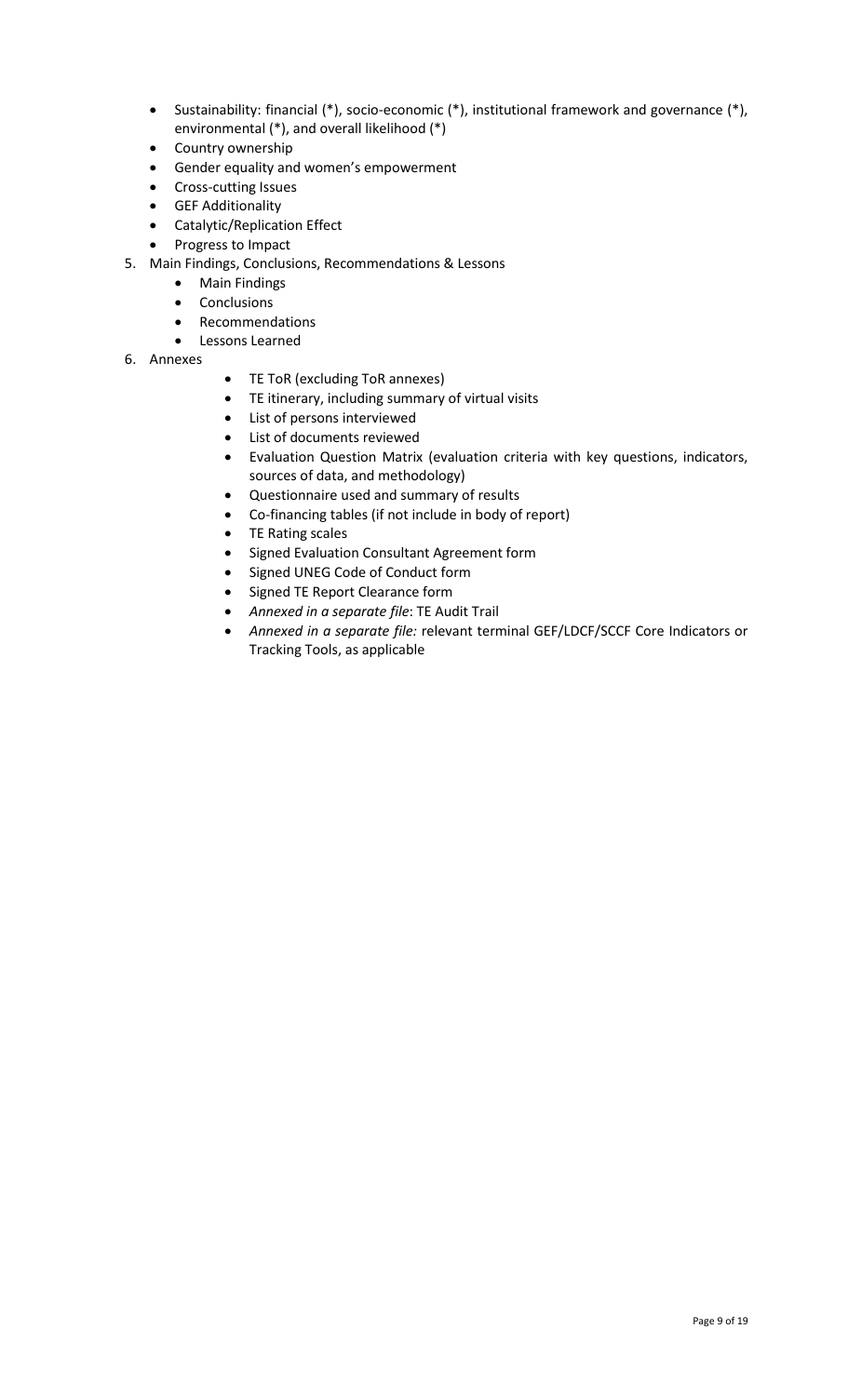- Sustainability: financial (\*), socio-economic (\*), institutional framework and governance (\*), environmental (\*), and overall likelihood (\*)
- Country ownership
- Gender equality and women's empowerment
- Cross-cutting Issues
- GEF Additionality
- Catalytic/Replication Effect
- Progress to Impact
- 5. Main Findings, Conclusions, Recommendations & Lessons
	- Main Findings
	- Conclusions
	- Recommendations
	- Lessons Learned
- 6. Annexes
- TE ToR (excluding ToR annexes)
- TE itinerary, including summary of virtual visits
- List of persons interviewed
- List of documents reviewed
- Evaluation Question Matrix (evaluation criteria with key questions, indicators, sources of data, and methodology)
- Questionnaire used and summary of results
- Co-financing tables (if not include in body of report)
- TE Rating scales
- Signed Evaluation Consultant Agreement form
- Signed UNEG Code of Conduct form
- Signed TE Report Clearance form
- *Annexed in a separate file*: TE Audit Trail
- *Annexed in a separate file:* relevant terminal GEF/LDCF/SCCF Core Indicators or Tracking Tools, as applicable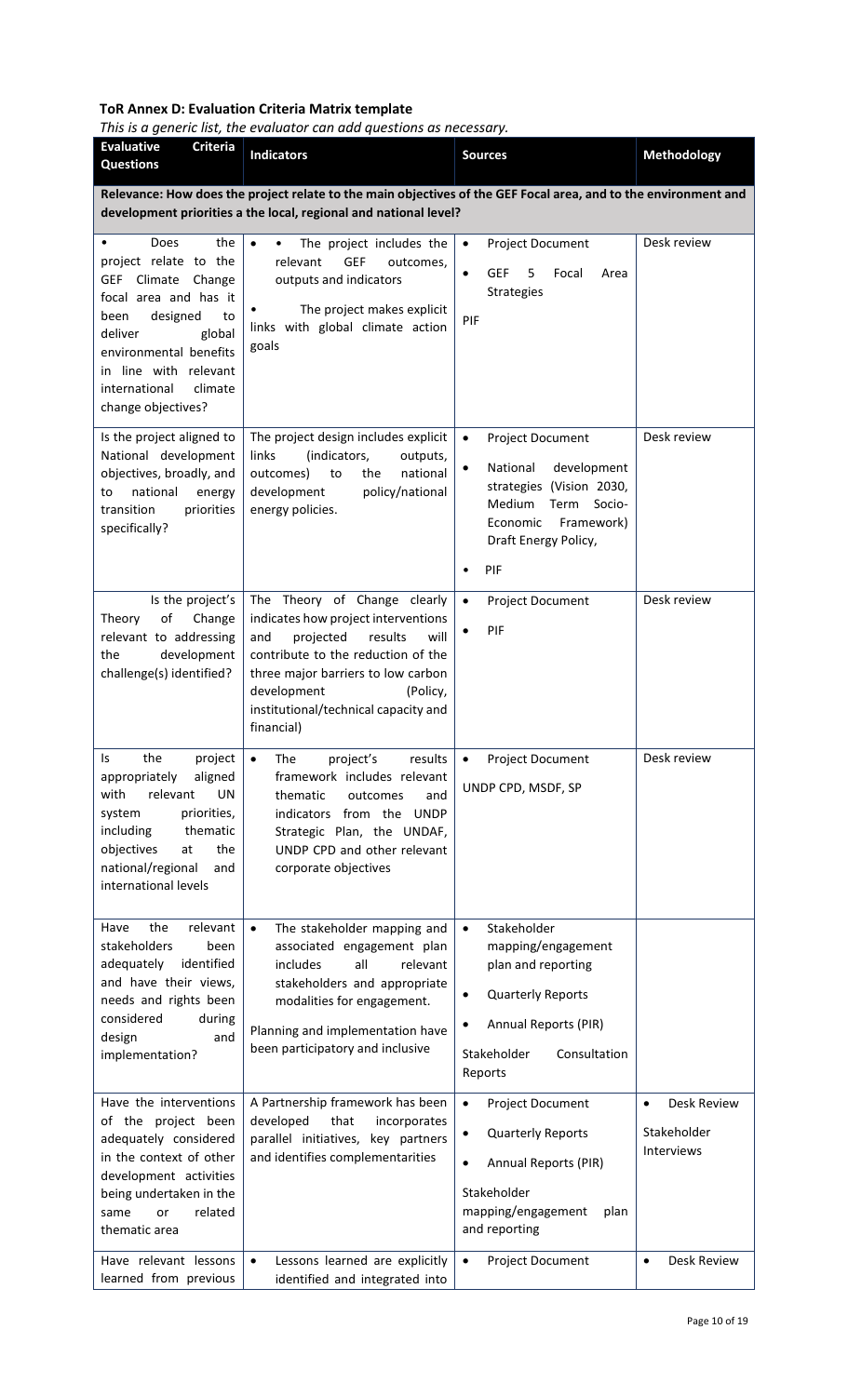# **ToR Annex D: Evaluation Criteria Matrix template**

*This is a generic list, the evaluator can add questions as necessary.*

| <b>Evaluative</b><br><b>Criteria</b><br><b>Questions</b>                                                                                                                                                                                                          | <b>Indicators</b>                                                                                                                                                                                                                                                       | <b>Sources</b>                                                                                                                                                                                      | <b>Methodology</b>                                    |
|-------------------------------------------------------------------------------------------------------------------------------------------------------------------------------------------------------------------------------------------------------------------|-------------------------------------------------------------------------------------------------------------------------------------------------------------------------------------------------------------------------------------------------------------------------|-----------------------------------------------------------------------------------------------------------------------------------------------------------------------------------------------------|-------------------------------------------------------|
|                                                                                                                                                                                                                                                                   | Relevance: How does the project relate to the main objectives of the GEF Focal area, and to the environment and<br>development priorities a the local, regional and national level?                                                                                     |                                                                                                                                                                                                     |                                                       |
| Does<br>the<br>$\bullet$<br>project relate to the<br><b>GEF</b><br>Climate<br>Change<br>focal area and has it<br>designed<br>been<br>to<br>deliver<br>global<br>environmental benefits<br>in line with relevant<br>international<br>climate<br>change objectives? | $\bullet$<br>The project includes the<br><b>GEF</b><br>relevant<br>outcomes,<br>outputs and indicators<br>The project makes explicit<br>links with global climate action<br>goals                                                                                       | $\bullet$<br>Project Document<br><b>GEF</b><br>5<br>Focal<br>$\bullet$<br>Area<br>Strategies<br>PIF                                                                                                 | Desk review                                           |
| Is the project aligned to<br>National development<br>objectives, broadly, and<br>national<br>energy<br>to<br>transition<br>priorities<br>specifically?                                                                                                            | The project design includes explicit<br>links<br>(indicators,<br>outputs,<br>outcomes)<br>national<br>to<br>the<br>development<br>policy/national<br>energy policies.                                                                                                   | $\bullet$<br>Project Document<br>National<br>development<br>$\bullet$<br>strategies (Vision 2030,<br>Medium<br>Term<br>Socio-<br>Economic<br>Framework)<br>Draft Energy Policy,<br>PIF<br>$\bullet$ | Desk review                                           |
| Is the project's<br>of<br>Change<br>Theory<br>relevant to addressing<br>development<br>the<br>challenge(s) identified?                                                                                                                                            | The Theory of Change clearly<br>indicates how project interventions<br>and<br>projected<br>results<br>will<br>contribute to the reduction of the<br>three major barriers to low carbon<br>development<br>(Policy,<br>institutional/technical capacity and<br>financial) | $\bullet$<br>Project Document<br>PIF<br>$\bullet$                                                                                                                                                   | Desk review                                           |
| the<br>project<br>Is<br>aligned<br>appropriately<br>with<br>relevant<br>UN<br>priorities,<br>system<br>including<br>thematic<br>objectives<br>the<br>at<br>national/regional<br>and<br>international levels                                                       | results<br>$\bullet$<br>The<br>project's<br>framework includes relevant<br>thematic<br>outcomes<br>and<br>indicators from the UNDP<br>Strategic Plan, the UNDAF,<br>UNDP CPD and other relevant<br>corporate objectives                                                 | $\bullet$<br><b>Project Document</b><br>UNDP CPD, MSDF, SP                                                                                                                                          | Desk review                                           |
| relevant<br>Have<br>the<br>stakeholders<br>been<br>identified<br>adequately<br>and have their views,<br>needs and rights been<br>considered<br>during<br>design<br>and<br>implementation?                                                                         | The stakeholder mapping and<br>$\bullet$<br>associated engagement plan<br>all<br>relevant<br>includes<br>stakeholders and appropriate<br>modalities for engagement.<br>Planning and implementation have<br>been participatory and inclusive                             | Stakeholder<br>$\bullet$<br>mapping/engagement<br>plan and reporting<br><b>Quarterly Reports</b><br>$\bullet$<br>Annual Reports (PIR)<br>$\bullet$<br>Stakeholder<br>Consultation<br>Reports        |                                                       |
| Have the interventions<br>of the project been<br>adequately considered<br>in the context of other<br>development activities<br>being undertaken in the<br>related<br>or<br>same<br>thematic area                                                                  | A Partnership framework has been<br>developed<br>that<br>incorporates<br>parallel initiatives, key partners<br>and identifies complementarities                                                                                                                         | $\bullet$<br>Project Document<br><b>Quarterly Reports</b><br>$\bullet$<br>Annual Reports (PIR)<br>$\bullet$<br>Stakeholder<br>mapping/engagement<br>plan<br>and reporting                           | Desk Review<br>$\bullet$<br>Stakeholder<br>Interviews |
| Have relevant lessons<br>learned from previous                                                                                                                                                                                                                    | $\bullet$<br>Lessons learned are explicitly<br>identified and integrated into                                                                                                                                                                                           | $\bullet$<br>Project Document                                                                                                                                                                       | Desk Review<br>$\bullet$                              |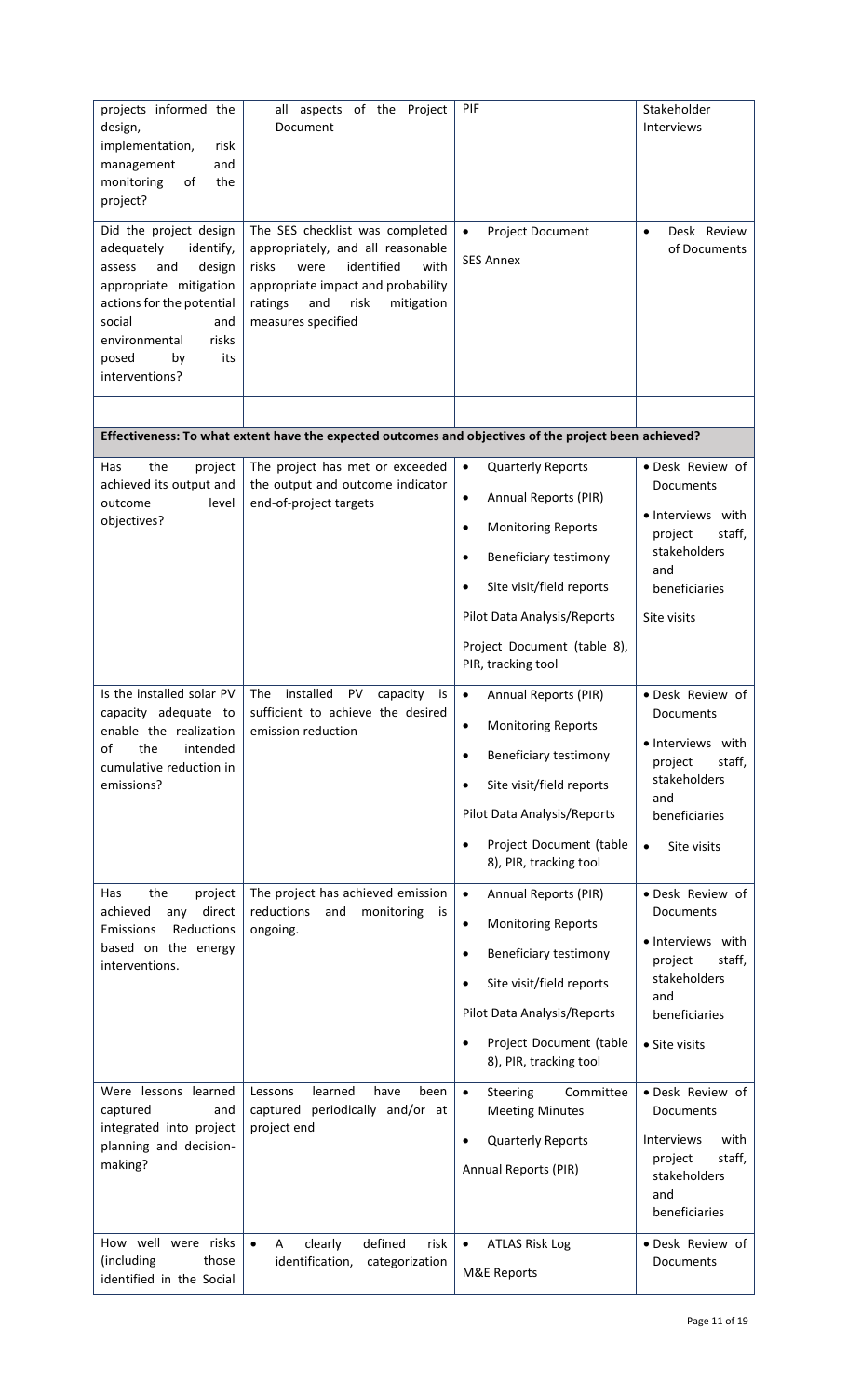| projects informed the<br>design,<br>implementation,<br>risk<br>management<br>and<br>monitoring<br>of<br>the<br>project?<br>Did the project design<br>adequately<br>identify,<br>and<br>design<br>assess<br>appropriate mitigation<br>actions for the potential<br>social<br>and<br>environmental<br>risks<br>posed<br>by<br>its<br>interventions? | all aspects of the Project<br>Document<br>The SES checklist was completed<br>appropriately, and all reasonable<br>identified<br>risks<br>were<br>with<br>appropriate impact and probability<br>ratings<br>and<br>risk<br>mitigation<br>measures specified | PIF<br>Project Document<br>$\bullet$<br><b>SES Annex</b>                                                                                                                                                                                                                          | Stakeholder<br>Interviews<br>Desk Review<br>$\bullet$<br>of Documents                                                                       |
|---------------------------------------------------------------------------------------------------------------------------------------------------------------------------------------------------------------------------------------------------------------------------------------------------------------------------------------------------|-----------------------------------------------------------------------------------------------------------------------------------------------------------------------------------------------------------------------------------------------------------|-----------------------------------------------------------------------------------------------------------------------------------------------------------------------------------------------------------------------------------------------------------------------------------|---------------------------------------------------------------------------------------------------------------------------------------------|
|                                                                                                                                                                                                                                                                                                                                                   | Effectiveness: To what extent have the expected outcomes and objectives of the project been achieved?                                                                                                                                                     |                                                                                                                                                                                                                                                                                   |                                                                                                                                             |
| the<br>Has<br>project<br>achieved its output and<br>outcome<br>level<br>objectives?                                                                                                                                                                                                                                                               | The project has met or exceeded<br>the output and outcome indicator<br>end-of-project targets                                                                                                                                                             | $\bullet$<br><b>Quarterly Reports</b><br>Annual Reports (PIR)<br>$\bullet$<br><b>Monitoring Reports</b><br>$\bullet$<br><b>Beneficiary testimony</b><br>$\bullet$<br>Site visit/field reports<br>Pilot Data Analysis/Reports<br>Project Document (table 8),<br>PIR, tracking tool | · Desk Review of<br>Documents<br>• Interviews with<br>project<br>staff,<br>stakeholders<br>and<br>beneficiaries<br>Site visits              |
| Is the installed solar PV<br>capacity adequate to<br>enable the realization<br>the<br>of<br>intended<br>cumulative reduction in<br>emissions?                                                                                                                                                                                                     | installed<br>The<br>PV<br>capacity<br>is<br>sufficient to achieve the desired<br>emission reduction                                                                                                                                                       | Annual Reports (PIR)<br>$\bullet$<br><b>Monitoring Reports</b><br>$\bullet$<br>Beneficiary testimony<br>$\bullet$<br>Site visit/field reports<br>$\bullet$<br>Pilot Data Analysis/Reports<br>Project Document (table<br>8), PIR, tracking tool                                    | · Desk Review of<br>Documents<br>· Interviews with<br>staff.<br>project<br>stakeholders<br>and<br>beneficiaries<br>Site visits<br>$\bullet$ |
| the<br>Has<br>project<br>achieved<br>direct<br>any<br>Emissions<br>Reductions<br>based on the energy<br>interventions.                                                                                                                                                                                                                            | The project has achieved emission<br>reductions<br>and<br>monitoring<br>is<br>ongoing.                                                                                                                                                                    | Annual Reports (PIR)<br>$\bullet$<br><b>Monitoring Reports</b><br>$\bullet$<br>Beneficiary testimony<br>$\bullet$<br>Site visit/field reports<br>$\bullet$<br>Pilot Data Analysis/Reports<br>Project Document (table<br>8), PIR, tracking tool                                    | · Desk Review of<br>Documents<br>• Interviews with<br>staff,<br>project<br>stakeholders<br>and<br>beneficiaries<br>• Site visits            |
| Were lessons learned<br>captured<br>and<br>integrated into project<br>planning and decision-<br>making?                                                                                                                                                                                                                                           | learned<br>Lessons<br>have<br>been<br>captured periodically and/or at<br>project end                                                                                                                                                                      | $\bullet$<br>Steering<br>Committee<br><b>Meeting Minutes</b><br><b>Quarterly Reports</b><br>$\bullet$<br>Annual Reports (PIR)                                                                                                                                                     | · Desk Review of<br>Documents<br>Interviews<br>with<br>staff,<br>project<br>stakeholders<br>and<br>beneficiaries                            |
| How well were risks<br>(including<br>those<br>identified in the Social                                                                                                                                                                                                                                                                            | defined<br>$\bullet$<br>clearly<br>risk<br>A<br>identification,<br>categorization                                                                                                                                                                         | <b>ATLAS Risk Log</b><br>$\bullet$<br><b>M&amp;E Reports</b>                                                                                                                                                                                                                      | · Desk Review of<br><b>Documents</b>                                                                                                        |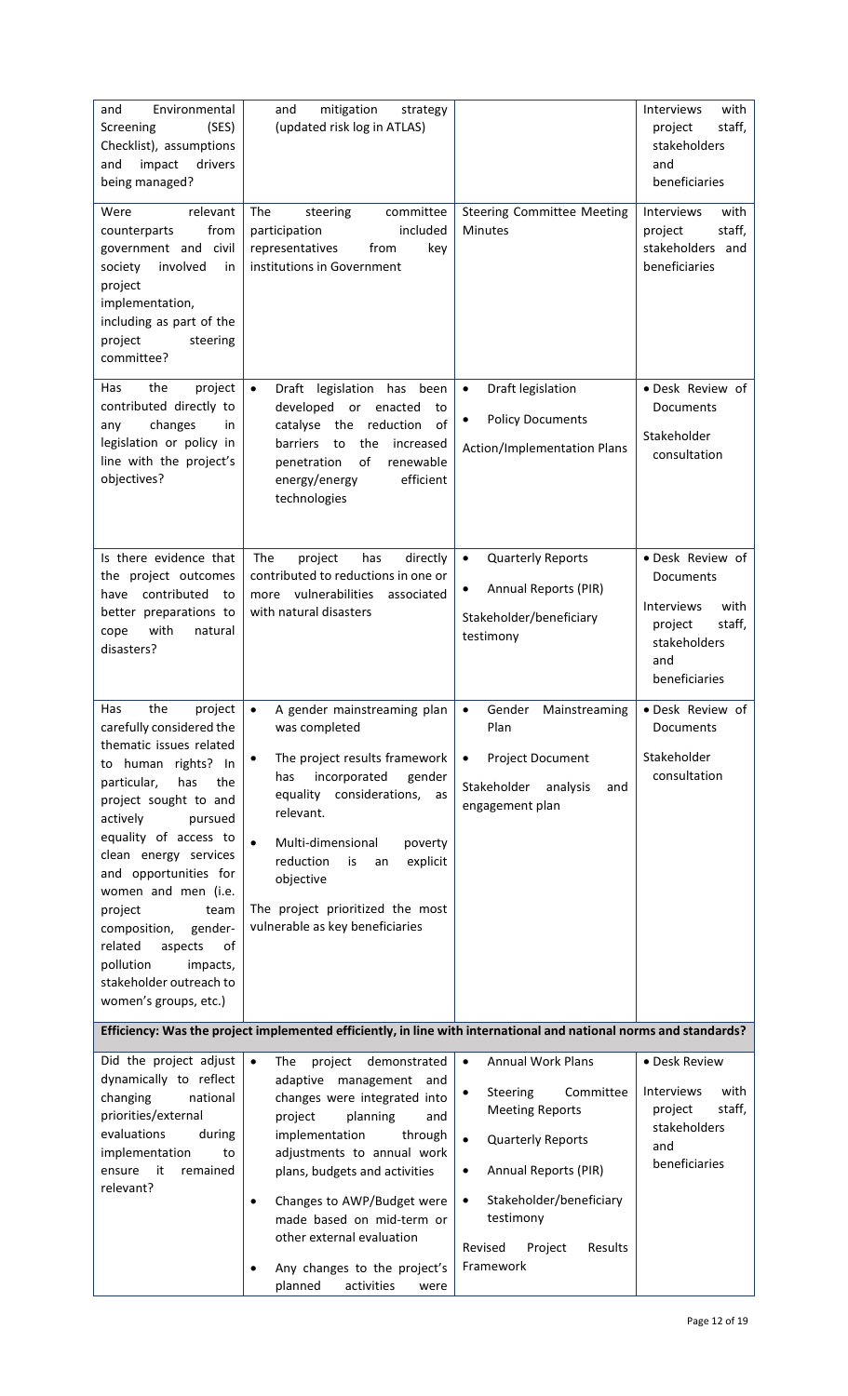| Environmental<br>and<br>(SES)<br>Screening<br>Checklist), assumptions<br>impact<br>drivers<br>and<br>being managed?<br>relevant<br>Were<br>from<br>counterparts<br>government and civil<br>involved<br>society<br>in<br>project<br>implementation,<br>including as part of the<br>project<br>steering                                                                                                                                     | mitigation<br>and<br>strategy<br>(updated risk log in ATLAS)<br>The<br>steering<br>committee<br>included<br>participation<br>representatives<br>from<br>key<br>institutions in Government                                                                                                                                                                                                                 | <b>Steering Committee Meeting</b><br><b>Minutes</b>                                                                                                                                                                                                                                    | Interviews<br>with<br>staff,<br>project<br>stakeholders<br>and<br>beneficiaries<br><b>Interviews</b><br>with<br>project<br>staff,<br>stakeholders and<br>beneficiaries |
|-------------------------------------------------------------------------------------------------------------------------------------------------------------------------------------------------------------------------------------------------------------------------------------------------------------------------------------------------------------------------------------------------------------------------------------------|-----------------------------------------------------------------------------------------------------------------------------------------------------------------------------------------------------------------------------------------------------------------------------------------------------------------------------------------------------------------------------------------------------------|----------------------------------------------------------------------------------------------------------------------------------------------------------------------------------------------------------------------------------------------------------------------------------------|------------------------------------------------------------------------------------------------------------------------------------------------------------------------|
| committee?<br>the<br>project<br>Has<br>contributed directly to<br>changes<br>any<br>in<br>legislation or policy in<br>line with the project's<br>objectives?                                                                                                                                                                                                                                                                              | Draft legislation has<br>been<br>$\bullet$<br>developed<br>or<br>enacted<br>to<br>the<br>reduction<br>of<br>catalyse<br>the<br>barriers<br>to<br>increased<br>of<br>renewable<br>penetration<br>efficient<br>energy/energy<br>technologies                                                                                                                                                                | Draft legislation<br>$\bullet$<br><b>Policy Documents</b><br>$\bullet$<br>Action/Implementation Plans                                                                                                                                                                                  | · Desk Review of<br>Documents<br>Stakeholder<br>consultation                                                                                                           |
| Is there evidence that<br>the project outcomes<br>contributed<br>have<br>to<br>better preparations to<br>with<br>natural<br>cope<br>disasters?                                                                                                                                                                                                                                                                                            | The<br>directly<br>project<br>has<br>contributed to reductions in one or<br>vulnerabilities<br>associated<br>more<br>with natural disasters                                                                                                                                                                                                                                                               | $\bullet$<br><b>Quarterly Reports</b><br>Annual Reports (PIR)<br>٠<br>Stakeholder/beneficiary<br>testimony                                                                                                                                                                             | • Desk Review of<br>Documents<br><b>Interviews</b><br>with<br>project<br>staff,<br>stakeholders<br>and<br>beneficiaries                                                |
| the<br>Has<br>project<br>carefully considered the<br>thematic issues related<br>to human rights? In<br>has<br>the<br>particular,<br>project sought to and<br>actively<br>pursued<br>equality of access to<br>clean energy services<br>and opportunities for<br>women and men (i.e.<br>team<br>project<br>gender-<br>composition,<br>related<br>aspects<br>of<br>pollution<br>impacts,<br>stakeholder outreach to<br>women's groups, etc.) | A gender mainstreaming plan<br>$\bullet$<br>was completed<br>The project results framework<br>$\bullet$<br>incorporated<br>gender<br>has<br>equality considerations,<br>as<br>relevant.<br>$\bullet$<br>Multi-dimensional<br>poverty<br>explicit<br>reduction<br>is<br>an<br>objective<br>The project prioritized the most<br>vulnerable as key beneficiaries                                             | Gender<br>$\bullet$<br>Mainstreaming<br>Plan<br>Project Document<br>$\bullet$<br>Stakeholder<br>analysis<br>and<br>engagement plan                                                                                                                                                     | · Desk Review of<br>Documents<br>Stakeholder<br>consultation                                                                                                           |
|                                                                                                                                                                                                                                                                                                                                                                                                                                           | Efficiency: Was the project implemented efficiently, in line with international and national norms and standards?                                                                                                                                                                                                                                                                                         |                                                                                                                                                                                                                                                                                        |                                                                                                                                                                        |
| Did the project adjust<br>dynamically to reflect<br>changing<br>national<br>priorities/external<br>evaluations<br>during<br>implementation<br>to<br>it<br>ensure<br>remained<br>relevant?                                                                                                                                                                                                                                                 | demonstrated<br>$\bullet$<br>project<br>The<br>adaptive management<br>and<br>changes were integrated into<br>project<br>planning<br>and<br>implementation<br>through<br>adjustments to annual work<br>plans, budgets and activities<br>Changes to AWP/Budget were<br>$\bullet$<br>made based on mid-term or<br>other external evaluation<br>Any changes to the project's<br>planned<br>activities<br>were | <b>Annual Work Plans</b><br>$\bullet$<br>Steering<br>Committee<br>$\bullet$<br><b>Meeting Reports</b><br>$\bullet$<br><b>Quarterly Reports</b><br>Annual Reports (PIR)<br>$\bullet$<br>Stakeholder/beneficiary<br>$\bullet$<br>testimony<br>Revised<br>Project<br>Results<br>Framework | • Desk Review<br>Interviews<br>with<br>project<br>staff,<br>stakeholders<br>and<br>beneficiaries                                                                       |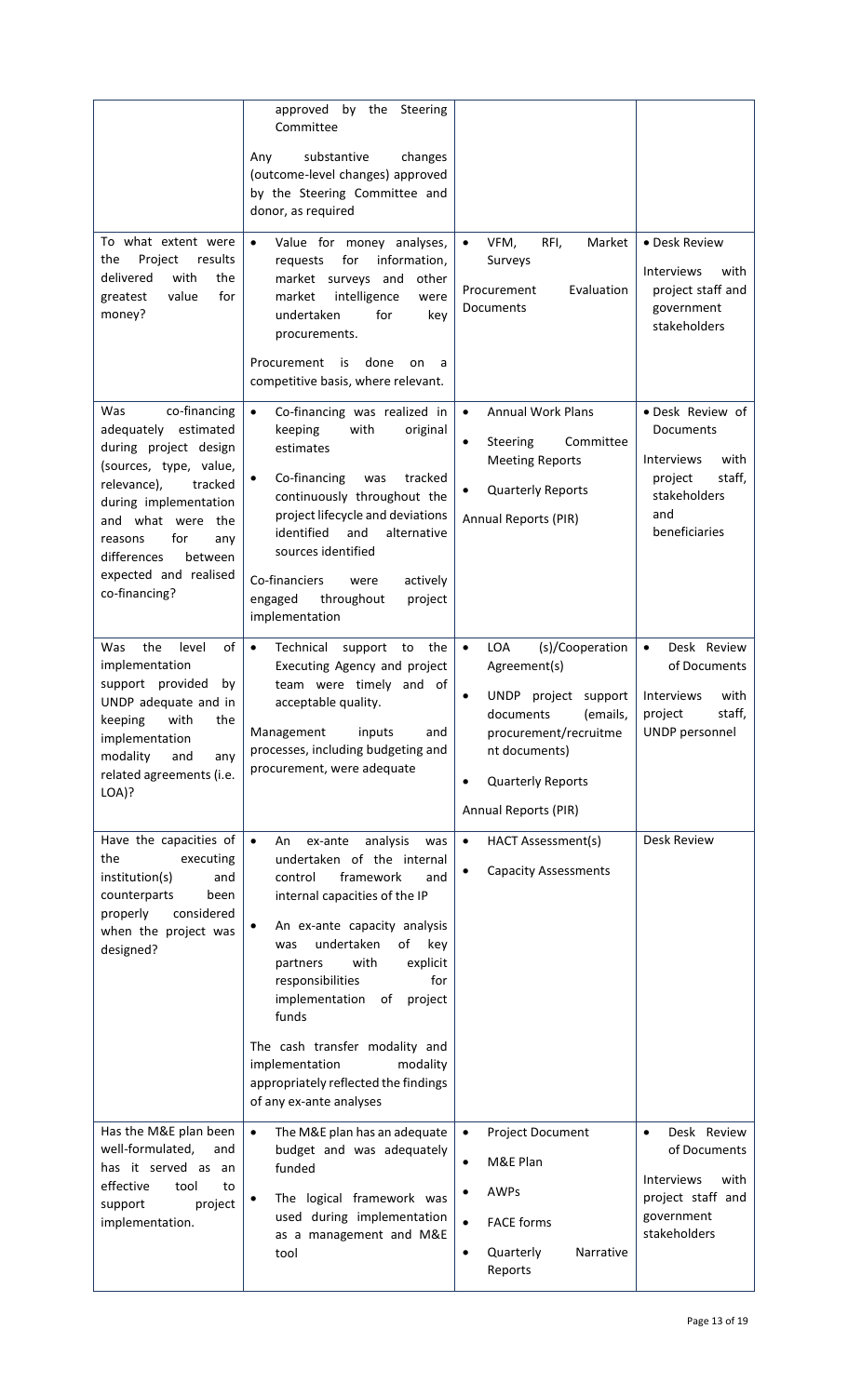|                                                                                                                                                                                                                                                                        | approved by the<br>Steering<br>Committee                                                                                                                                                                                                                                                                                                                                                                                                                     |                                                                                                                                                                                                                    |                                                                                                                         |
|------------------------------------------------------------------------------------------------------------------------------------------------------------------------------------------------------------------------------------------------------------------------|--------------------------------------------------------------------------------------------------------------------------------------------------------------------------------------------------------------------------------------------------------------------------------------------------------------------------------------------------------------------------------------------------------------------------------------------------------------|--------------------------------------------------------------------------------------------------------------------------------------------------------------------------------------------------------------------|-------------------------------------------------------------------------------------------------------------------------|
|                                                                                                                                                                                                                                                                        | substantive<br>Any<br>changes<br>(outcome-level changes) approved<br>by the Steering Committee and<br>donor, as required                                                                                                                                                                                                                                                                                                                                     |                                                                                                                                                                                                                    |                                                                                                                         |
| To what extent were<br>the<br>Project<br>results<br>with<br>delivered<br>the<br>for<br>greatest<br>value<br>money?                                                                                                                                                     | Value for money analyses,<br>$\bullet$<br>for<br>information,<br>requests<br>market surveys and<br>other<br>intelligence<br>market<br>were<br>for<br>undertaken<br>key<br>procurements.<br>Procurement<br>done<br>is<br>on<br>a<br>competitive basis, where relevant.                                                                                                                                                                                        | RFI,<br>VFM,<br>Market<br>$\bullet$<br>Surveys<br>Evaluation<br>Procurement<br>Documents                                                                                                                           | • Desk Review<br>Interviews<br>with<br>project staff and<br>government<br>stakeholders                                  |
| Was<br>co-financing<br>adequately estimated<br>during project design<br>(sources, type, value,<br>relevance),<br>tracked<br>during implementation<br>and what were<br>the<br>for<br>reasons<br>any<br>differences<br>between<br>expected and realised<br>co-financing? | Co-financing was realized in<br>$\bullet$<br>keeping<br>with<br>original<br>estimates<br>Co-financing<br>tracked<br>was<br>continuously throughout the<br>project lifecycle and deviations<br>identified<br>and<br>alternative<br>sources identified<br>Co-financiers<br>were<br>actively<br>engaged<br>throughout<br>project<br>implementation                                                                                                              | <b>Annual Work Plans</b><br>$\bullet$<br>Steering<br>Committee<br>$\bullet$<br><b>Meeting Reports</b><br><b>Quarterly Reports</b><br>$\bullet$<br>Annual Reports (PIR)                                             | • Desk Review of<br>Documents<br><b>Interviews</b><br>with<br>project<br>staff,<br>stakeholders<br>and<br>beneficiaries |
| the<br>of<br>Was<br>level<br>implementation<br>support provided<br>by<br>UNDP adequate and in<br>with<br>the<br>keeping<br>implementation<br>modality<br>and<br>any<br>related agreements (i.e.<br>LOA)?                                                               | $\bullet$<br>Technical<br>support<br>the<br>to<br>Executing Agency and project<br>team were timely and of<br>acceptable quality.<br>Management<br>inputs<br>and<br>processes, including budgeting and<br>procurement, were adequate                                                                                                                                                                                                                          | LOA<br>(s)/Cooperation<br>$\bullet$<br>Agreement(s)<br><b>UNDP</b><br>project support<br>(emails,<br>documents<br>procurement/recruitme<br>nt documents)<br>Quarterly Reports<br>$\bullet$<br>Annual Reports (PIR) | Desk Review<br>$\bullet$<br>of Documents<br>Interviews<br>with<br>staff.<br>project<br>UNDP personnel                   |
| Have the capacities of<br>the<br>executing<br>institution(s)<br>and<br>counterparts<br>been<br>properly<br>considered<br>when the project was<br>designed?                                                                                                             | $\bullet$<br>An<br>ex-ante<br>analysis<br>was<br>undertaken of the internal<br>framework<br>control<br>and<br>internal capacities of the IP<br>An ex-ante capacity analysis<br>٠<br>undertaken<br>of<br>key<br>was<br>explicit<br>with<br>partners<br>for<br>responsibilities<br>implementation<br>project<br>of<br>funds<br>The cash transfer modality and<br>implementation<br>modality<br>appropriately reflected the findings<br>of any ex-ante analyses | <b>HACT Assessment(s)</b><br>$\bullet$<br><b>Capacity Assessments</b><br>٠                                                                                                                                         | Desk Review                                                                                                             |
| Has the M&E plan been<br>well-formulated,<br>and<br>has it served as an<br>effective<br>tool<br>to<br>support<br>project<br>implementation.                                                                                                                            | The M&E plan has an adequate<br>$\bullet$<br>budget and was adequately<br>funded<br>The logical framework was<br>٠<br>used during implementation<br>as a management and M&E<br>tool                                                                                                                                                                                                                                                                          | Project Document<br>$\bullet$<br>M&E Plan<br>$\bullet$<br>AWPs<br>٠<br>$\bullet$<br><b>FACE forms</b><br>Narrative<br>Quarterly<br>$\bullet$<br>Reports                                                            | Desk Review<br>$\bullet$<br>of Documents<br>with<br>Interviews<br>project staff and<br>government<br>stakeholders       |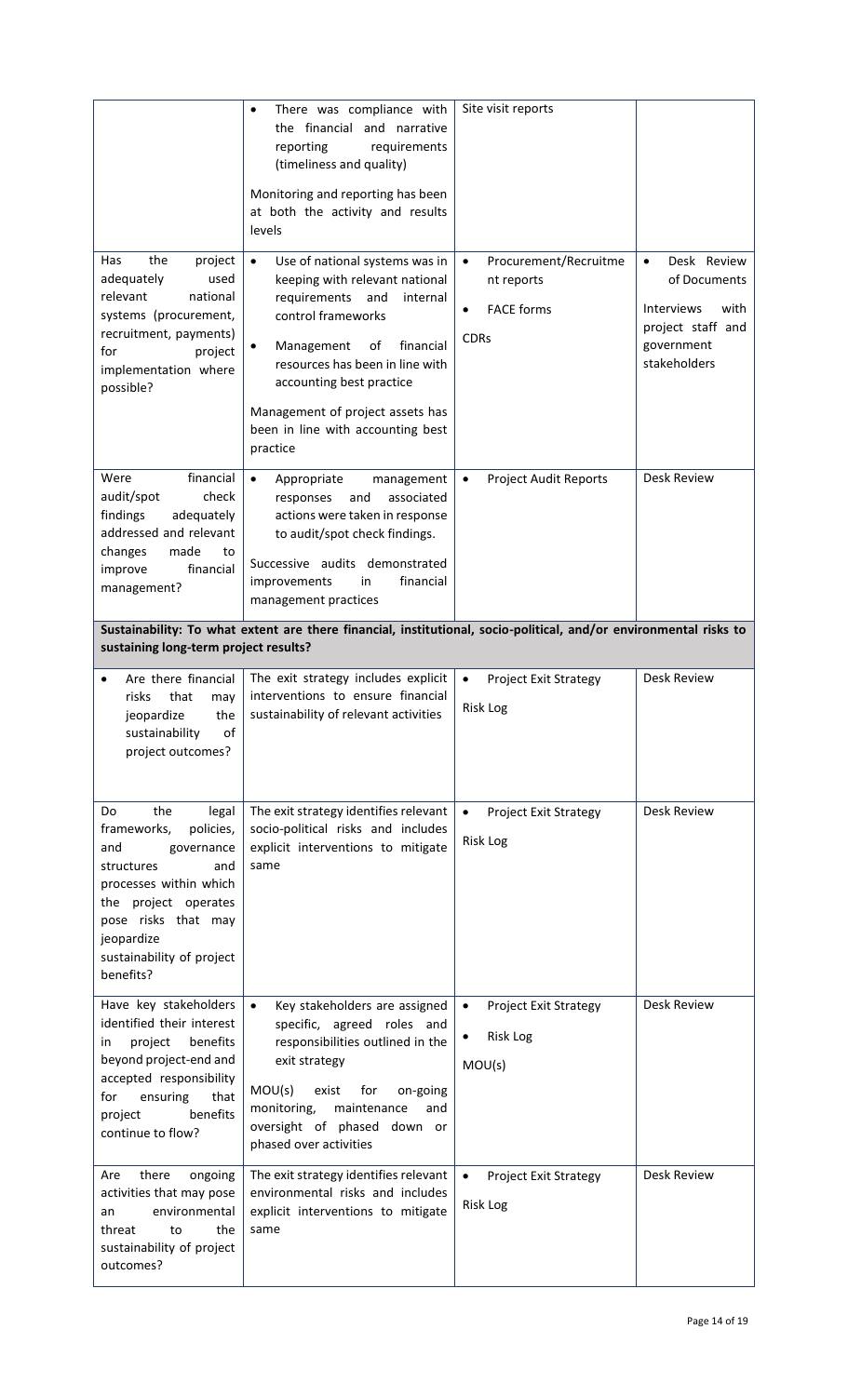| the<br>Has<br>project                                                                                                                                                                                                     | There was compliance with<br>٠<br>the financial and narrative<br>reporting<br>requirements<br>(timeliness and quality)<br>Monitoring and reporting has been<br>at both the activity and results<br>levels<br>Use of national systems was in<br>$\bullet$                     | Site visit reports<br>Procurement/Recruitme<br>$\bullet$                     | Desk Review<br>$\bullet$                                                              |
|---------------------------------------------------------------------------------------------------------------------------------------------------------------------------------------------------------------------------|------------------------------------------------------------------------------------------------------------------------------------------------------------------------------------------------------------------------------------------------------------------------------|------------------------------------------------------------------------------|---------------------------------------------------------------------------------------|
| adequately<br>used<br>relevant<br>national<br>systems (procurement,<br>recruitment, payments)<br>for<br>project<br>implementation where<br>possible?                                                                      | keeping with relevant national<br>requirements<br>and<br>internal<br>control frameworks<br>Management<br>financial<br>of<br>resources has been in line with<br>accounting best practice<br>Management of project assets has<br>been in line with accounting best<br>practice | nt reports<br><b>FACE forms</b><br><b>CDRs</b>                               | of Documents<br>Interviews<br>with<br>project staff and<br>government<br>stakeholders |
| financial<br>Were<br>audit/spot<br>check<br>findings<br>adequately<br>addressed and relevant<br>made<br>changes<br>to<br>financial<br>improve<br>management?                                                              | $\bullet$<br>Appropriate<br>management<br>associated<br>responses<br>and<br>actions were taken in response<br>to audit/spot check findings.<br>Successive audits demonstrated<br>financial<br>improvements<br>in<br>management practices                                     | <b>Project Audit Reports</b><br>$\bullet$                                    | Desk Review                                                                           |
| sustaining long-term project results?                                                                                                                                                                                     | Sustainability: To what extent are there financial, institutional, socio-political, and/or environmental risks to                                                                                                                                                            |                                                                              |                                                                                       |
| Are there financial<br>risks<br>that<br>may<br>the<br>jeopardize<br>sustainability<br>of<br>project outcomes?                                                                                                             | The exit strategy includes explicit<br>interventions to ensure financial<br>sustainability of relevant activities                                                                                                                                                            | <b>Project Exit Strategy</b><br>$\bullet$<br>Risk Log                        | <b>Desk Review</b>                                                                    |
| the<br>Do<br>legal<br>frameworks,<br>policies,<br>and<br>governance<br>structures<br>and<br>processes within which<br>the project operates<br>pose risks that may<br>jeopardize<br>sustainability of project<br>benefits? | The exit strategy identifies relevant<br>socio-political risks and includes<br>explicit interventions to mitigate<br>same                                                                                                                                                    | <b>Project Exit Strategy</b><br>$\bullet$<br>Risk Log                        | Desk Review                                                                           |
| Have key stakeholders<br>identified their interest<br>project<br>benefits<br>in<br>beyond project-end and<br>accepted responsibility<br>ensuring<br>that<br>for<br>benefits<br>project<br>continue to flow?               | Key stakeholders are assigned<br>$\bullet$<br>specific, agreed roles and<br>responsibilities outlined in the<br>exit strategy<br>MOU(s)<br>exist<br>for<br>on-going<br>monitoring,<br>maintenance<br>and<br>oversight of phased down or<br>phased over activities            | <b>Project Exit Strategy</b><br>$\bullet$<br>Risk Log<br>$\bullet$<br>MOU(s) | Desk Review                                                                           |
| there<br>Are<br>ongoing<br>activities that may pose<br>environmental<br>an<br>the<br>threat<br>to<br>sustainability of project<br>outcomes?                                                                               | The exit strategy identifies relevant<br>environmental risks and includes<br>explicit interventions to mitigate<br>same                                                                                                                                                      | <b>Project Exit Strategy</b><br>$\bullet$<br>Risk Log                        | <b>Desk Review</b>                                                                    |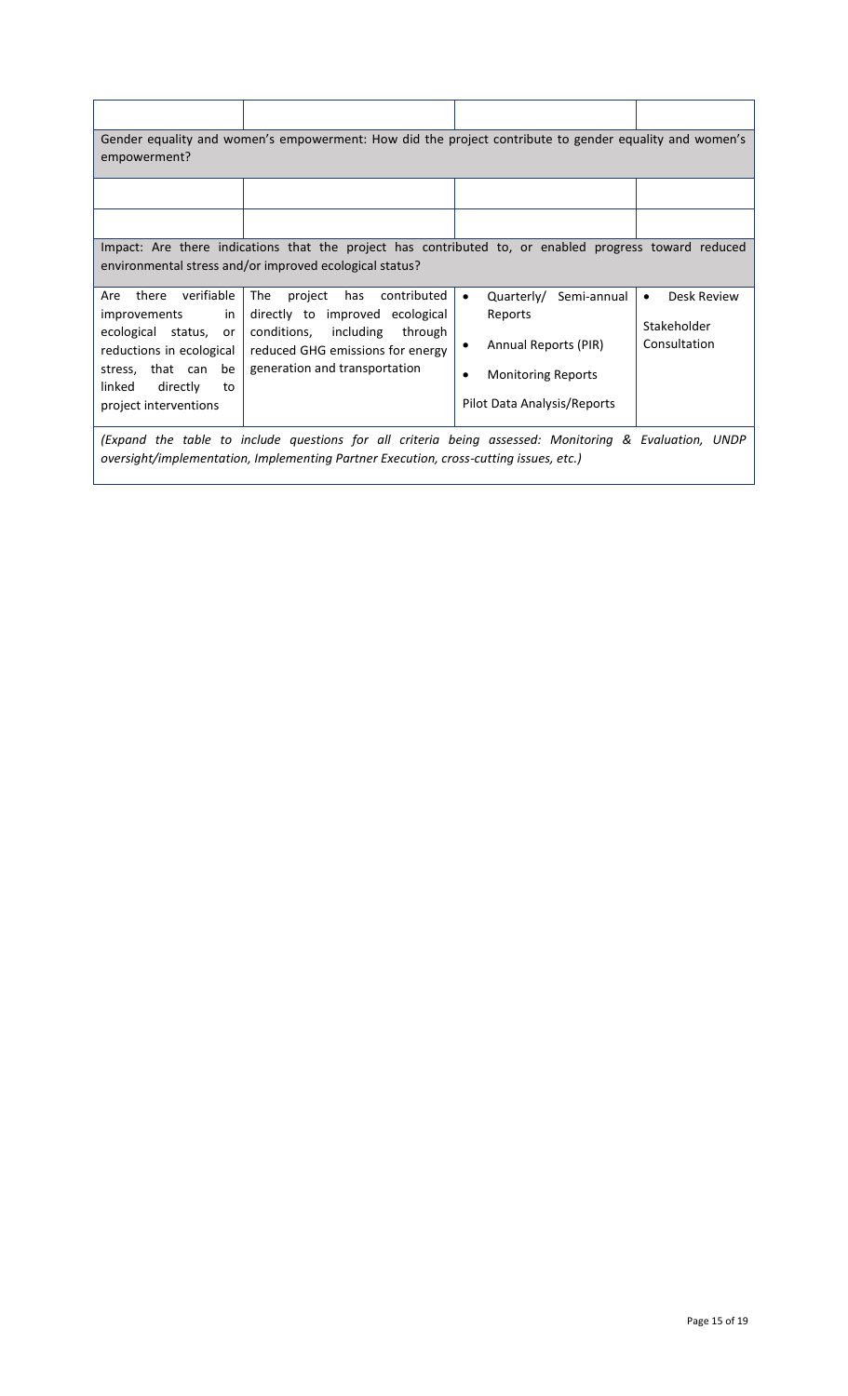| Gender equality and women's empowerment: How did the project contribute to gender equality and women's<br>empowerment?                                                                         |                                                                                                                                                                               |                                                                                                                                                 |                                                         |  |  |
|------------------------------------------------------------------------------------------------------------------------------------------------------------------------------------------------|-------------------------------------------------------------------------------------------------------------------------------------------------------------------------------|-------------------------------------------------------------------------------------------------------------------------------------------------|---------------------------------------------------------|--|--|
|                                                                                                                                                                                                |                                                                                                                                                                               |                                                                                                                                                 |                                                         |  |  |
| Impact: Are there indications that the project has contributed to, or enabled progress toward reduced<br>environmental stress and/or improved ecological status?                               |                                                                                                                                                                               |                                                                                                                                                 |                                                         |  |  |
| verifiable<br>Are<br>there<br>improvements<br>in<br>ecological status, or<br>reductions in ecological<br>stress, that can be<br>linked<br>directly<br>to<br>project interventions              | The<br>project<br>has<br>contributed<br>directly to improved ecological<br>conditions, including through<br>reduced GHG emissions for energy<br>generation and transportation | Quarterly/<br>Semi-annual<br>$\bullet$<br>Reports<br>Annual Reports (PIR)<br>٠<br><b>Monitoring Reports</b><br>٠<br>Pilot Data Analysis/Reports | Desk Review<br>$\bullet$<br>Stakeholder<br>Consultation |  |  |
| (Expand the table to include questions for all criteria being assessed: Monitoring & Evaluation, UNDP<br>oversight/implementation, Implementing Partner Execution, cross-cutting issues, etc.) |                                                                                                                                                                               |                                                                                                                                                 |                                                         |  |  |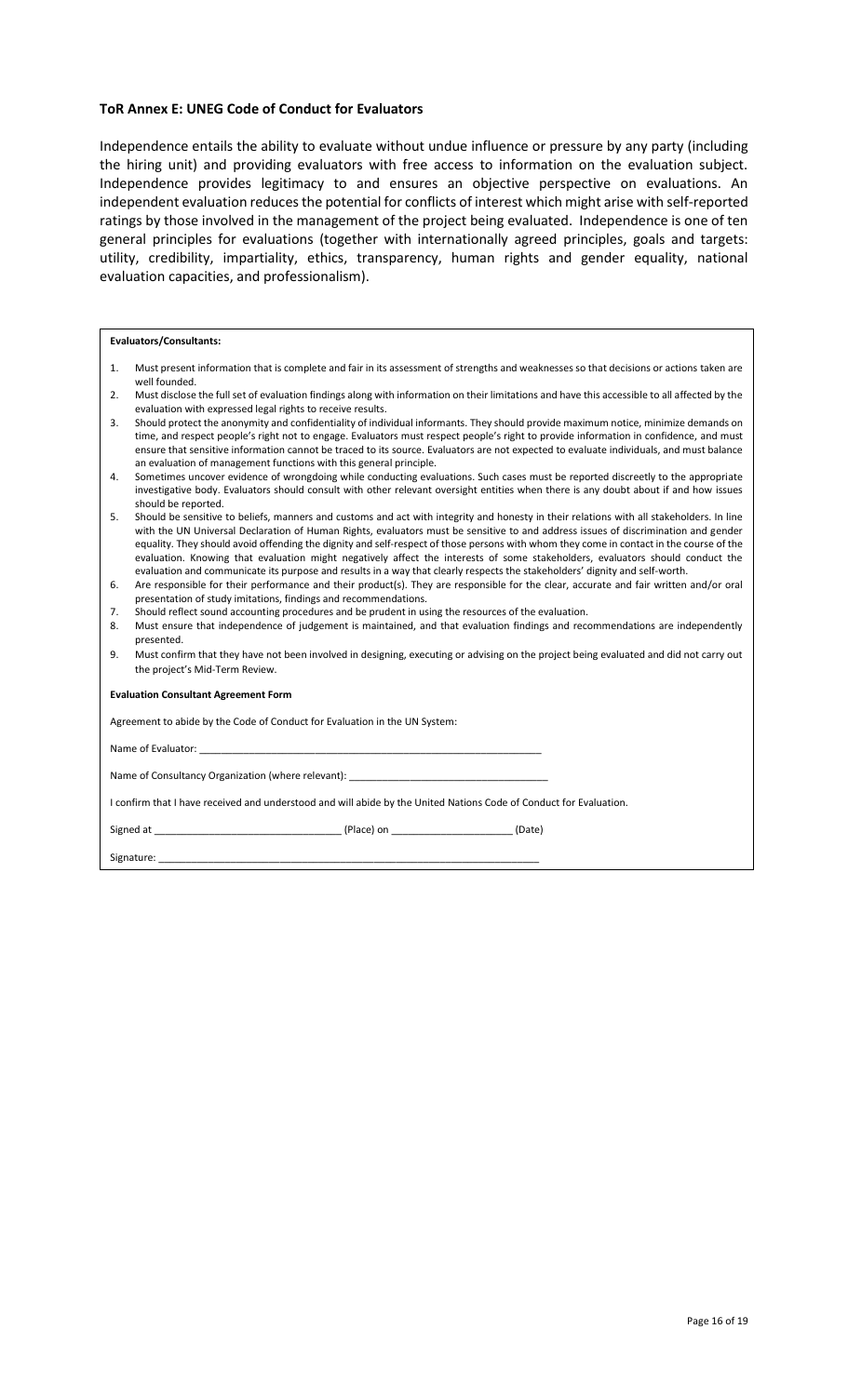### **ToR Annex E: UNEG Code of Conduct for Evaluators**

Independence entails the ability to evaluate without undue influence or pressure by any party (including the hiring unit) and providing evaluators with free access to information on the evaluation subject. Independence provides legitimacy to and ensures an objective perspective on evaluations. An independent evaluation reduces the potential for conflicts of interest which might arise with self-reported ratings by those involved in the management of the project being evaluated. Independence is one of ten general principles for evaluations (together with internationally agreed principles, goals and targets: utility, credibility, impartiality, ethics, transparency, human rights and gender equality, national evaluation capacities, and professionalism).

### **Evaluators/Consultants:**

- 1. Must present information that is complete and fair in its assessment of strengths and weaknesses so that decisions or actions taken are well founded.
- 2. Must disclose the full set of evaluation findings along with information on their limitations and have this accessible to all affected by the evaluation with expressed legal rights to receive results.
- 3. Should protect the anonymity and confidentiality of individual informants. They should provide maximum notice, minimize demands on time, and respect people's right not to engage. Evaluators must respect people's right to provide information in confidence, and must ensure that sensitive information cannot be traced to its source. Evaluators are not expected to evaluate individuals, and must balance an evaluation of management functions with this general principle.
- 4. Sometimes uncover evidence of wrongdoing while conducting evaluations. Such cases must be reported discreetly to the appropriate investigative body. Evaluators should consult with other relevant oversight entities when there is any doubt about if and how issues should be reported.
- 5. Should be sensitive to beliefs, manners and customs and act with integrity and honesty in their relations with all stakeholders. In line with the UN Universal Declaration of Human Rights, evaluators must be sensitive to and address issues of discrimination and gender equality. They should avoid offending the dignity and self-respect of those persons with whom they come in contact in the course of the evaluation. Knowing that evaluation might negatively affect the interests of some stakeholders, evaluators should conduct the evaluation and communicate its purpose and results in a way that clearly respects the stakeholders' dignity and self-worth.
- 6. Are responsible for their performance and their product(s). They are responsible for the clear, accurate and fair written and/or oral presentation of study imitations, findings and recommendations.
- 7. Should reflect sound accounting procedures and be prudent in using the resources of the evaluation.
- 8. Must ensure that independence of judgement is maintained, and that evaluation findings and recommendations are independently presented.
- 9. Must confirm that they have not been involved in designing, executing or advising on the project being evaluated and did not carry out the project's Mid-Term Review.

**Evaluation Consultant Agreement Form**

Agreement to abide by the Code of Conduct for Evaluation in the UN System:

Name of Evaluator:

Name of Consultancy Organization (where relevant): \_

I confirm that I have received and understood and will abide by the United Nations Code of Conduct for Evaluation.

Signed at \_\_\_\_\_\_\_\_\_\_\_\_\_\_\_\_\_\_\_\_\_\_\_\_\_\_\_\_\_\_\_\_\_\_ (Place) on \_\_\_\_\_\_\_\_\_\_\_\_\_\_\_\_\_\_\_\_\_\_ (Date)

Signature: \_\_\_\_\_\_\_\_\_\_\_\_\_\_\_\_\_\_\_\_\_\_\_\_\_\_\_\_\_\_\_\_\_\_\_\_\_\_\_\_\_\_\_\_\_\_\_\_\_\_\_\_\_\_\_\_\_\_\_\_\_\_\_\_\_\_\_\_\_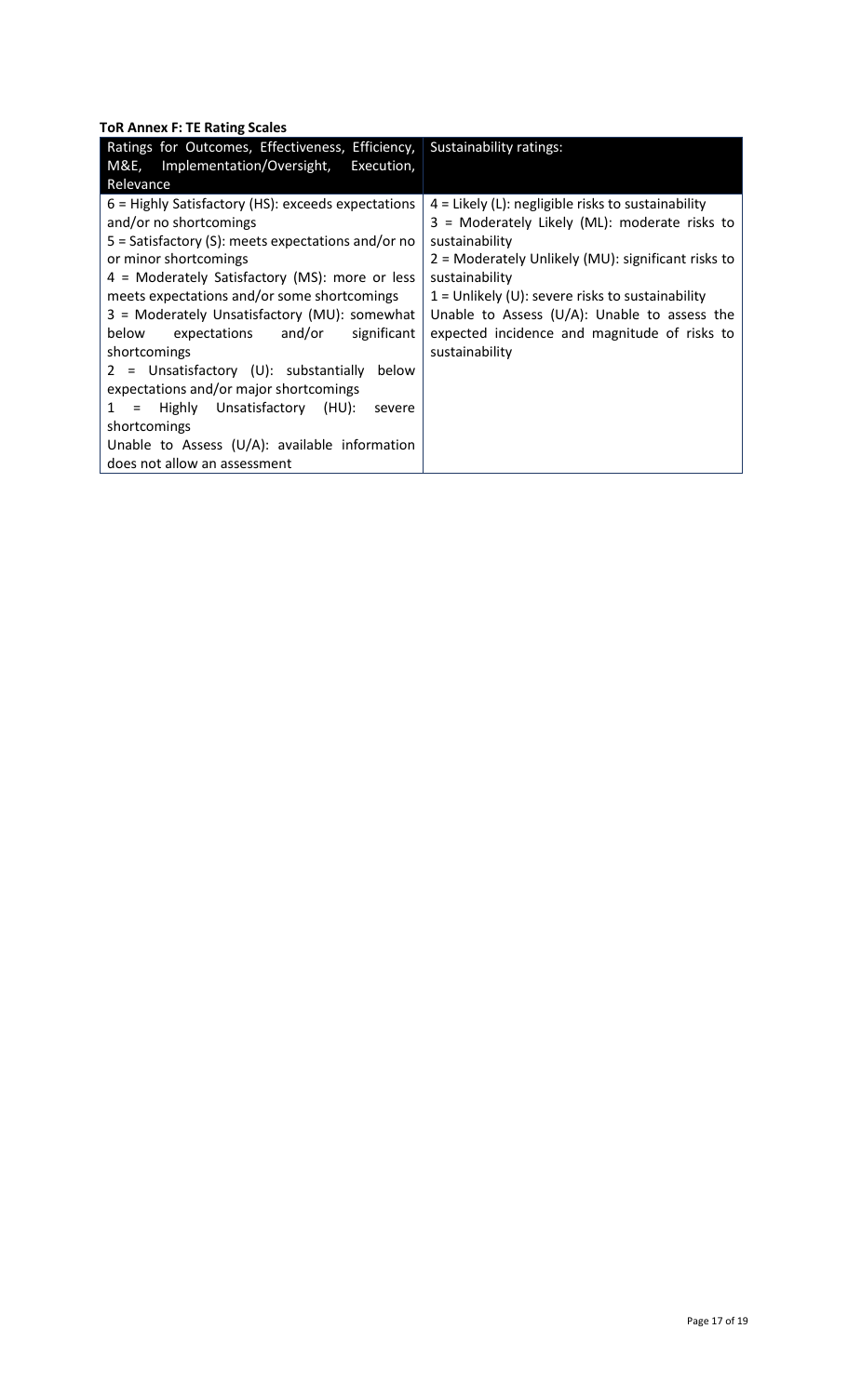**ToR Annex F: TE Rating Scales**

| Ratings for Outcomes, Effectiveness, Efficiency,                                                                                                                                                                                                                                                                                                                                                                                                                         | Sustainability ratings:                                                                                                                                                                                                                                                                                                                                                     |
|--------------------------------------------------------------------------------------------------------------------------------------------------------------------------------------------------------------------------------------------------------------------------------------------------------------------------------------------------------------------------------------------------------------------------------------------------------------------------|-----------------------------------------------------------------------------------------------------------------------------------------------------------------------------------------------------------------------------------------------------------------------------------------------------------------------------------------------------------------------------|
| M&E, Implementation/Oversight, Execution,                                                                                                                                                                                                                                                                                                                                                                                                                                |                                                                                                                                                                                                                                                                                                                                                                             |
| Relevance                                                                                                                                                                                                                                                                                                                                                                                                                                                                |                                                                                                                                                                                                                                                                                                                                                                             |
| 6 = Highly Satisfactory (HS): exceeds expectations<br>and/or no shortcomings<br>$5 =$ Satisfactory (S): meets expectations and/or no<br>or minor shortcomings<br>4 = Moderately Satisfactory (MS): more or less<br>meets expectations and/or some shortcomings<br>3 = Moderately Unsatisfactory (MU): somewhat<br>below<br>expectations and/or significant<br>shortcomings<br>$2 =$ Unsatisfactory (U): substantially<br>below<br>expectations and/or major shortcomings | $4$ = Likely (L): negligible risks to sustainability<br>3 = Moderately Likely (ML): moderate risks to<br>sustainability<br>2 = Moderately Unlikely (MU): significant risks to<br>sustainability<br>$1 =$ Unlikely (U): severe risks to sustainability<br>Unable to Assess ( $U/A$ ): Unable to assess the<br>expected incidence and magnitude of risks to<br>sustainability |
| 1 = Highly Unsatisfactory (HU):<br>severe                                                                                                                                                                                                                                                                                                                                                                                                                                |                                                                                                                                                                                                                                                                                                                                                                             |
| shortcomings                                                                                                                                                                                                                                                                                                                                                                                                                                                             |                                                                                                                                                                                                                                                                                                                                                                             |
| Unable to Assess (U/A): available information                                                                                                                                                                                                                                                                                                                                                                                                                            |                                                                                                                                                                                                                                                                                                                                                                             |
| does not allow an assessment                                                                                                                                                                                                                                                                                                                                                                                                                                             |                                                                                                                                                                                                                                                                                                                                                                             |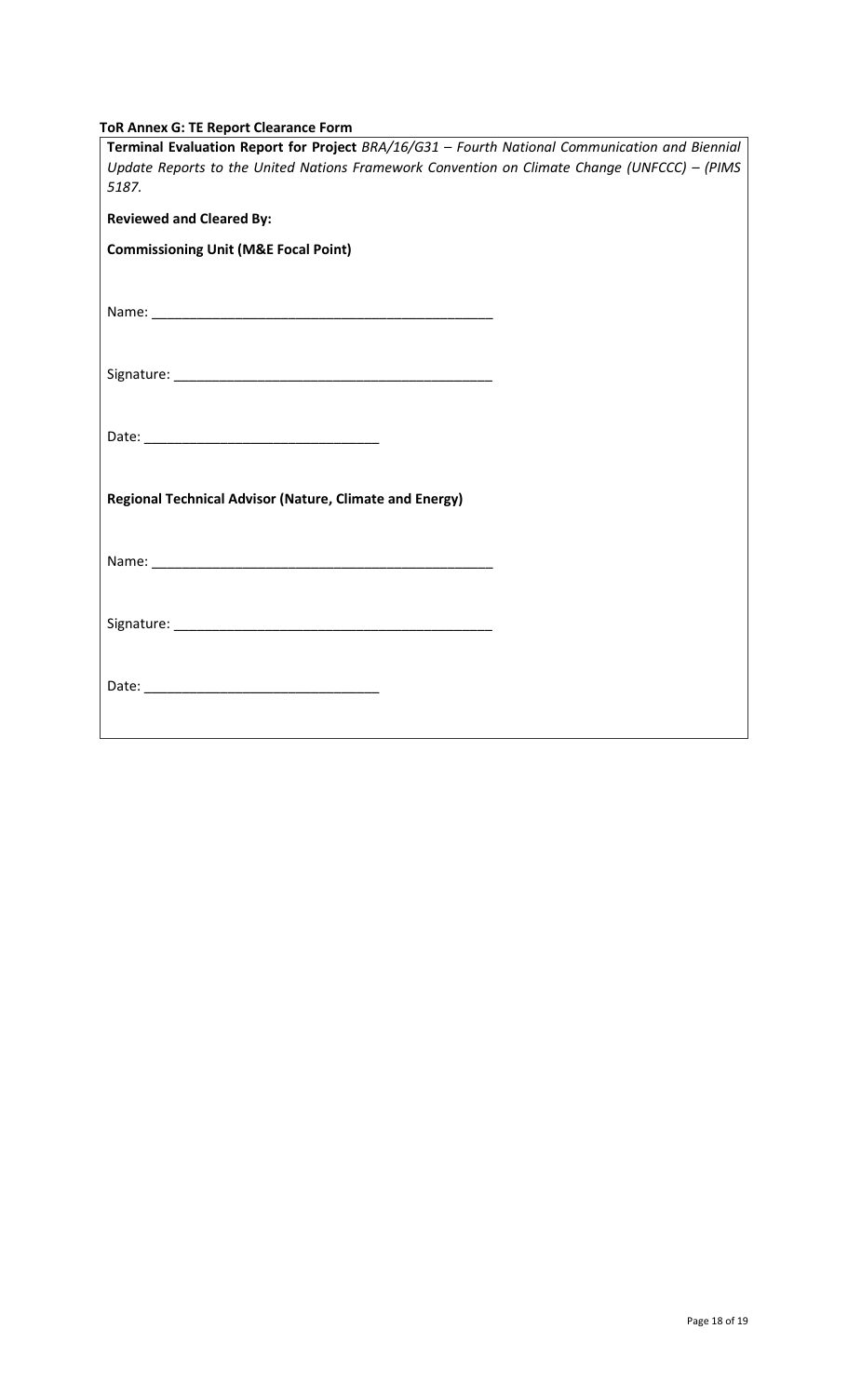| <b>ToR Annex G: TE Report Clearance Form</b> |
|----------------------------------------------|
|----------------------------------------------|

| Terminal Evaluation Report for Project BRA/16/G31 - Fourth National Communication and Biennial<br>Update Reports to the United Nations Framework Convention on Climate Change (UNFCCC) - (PIMS<br>5187. |  |
|---------------------------------------------------------------------------------------------------------------------------------------------------------------------------------------------------------|--|
| <b>Reviewed and Cleared By:</b>                                                                                                                                                                         |  |
| <b>Commissioning Unit (M&amp;E Focal Point)</b>                                                                                                                                                         |  |
|                                                                                                                                                                                                         |  |
|                                                                                                                                                                                                         |  |
|                                                                                                                                                                                                         |  |
| <b>Regional Technical Advisor (Nature, Climate and Energy)</b>                                                                                                                                          |  |
|                                                                                                                                                                                                         |  |
|                                                                                                                                                                                                         |  |
|                                                                                                                                                                                                         |  |